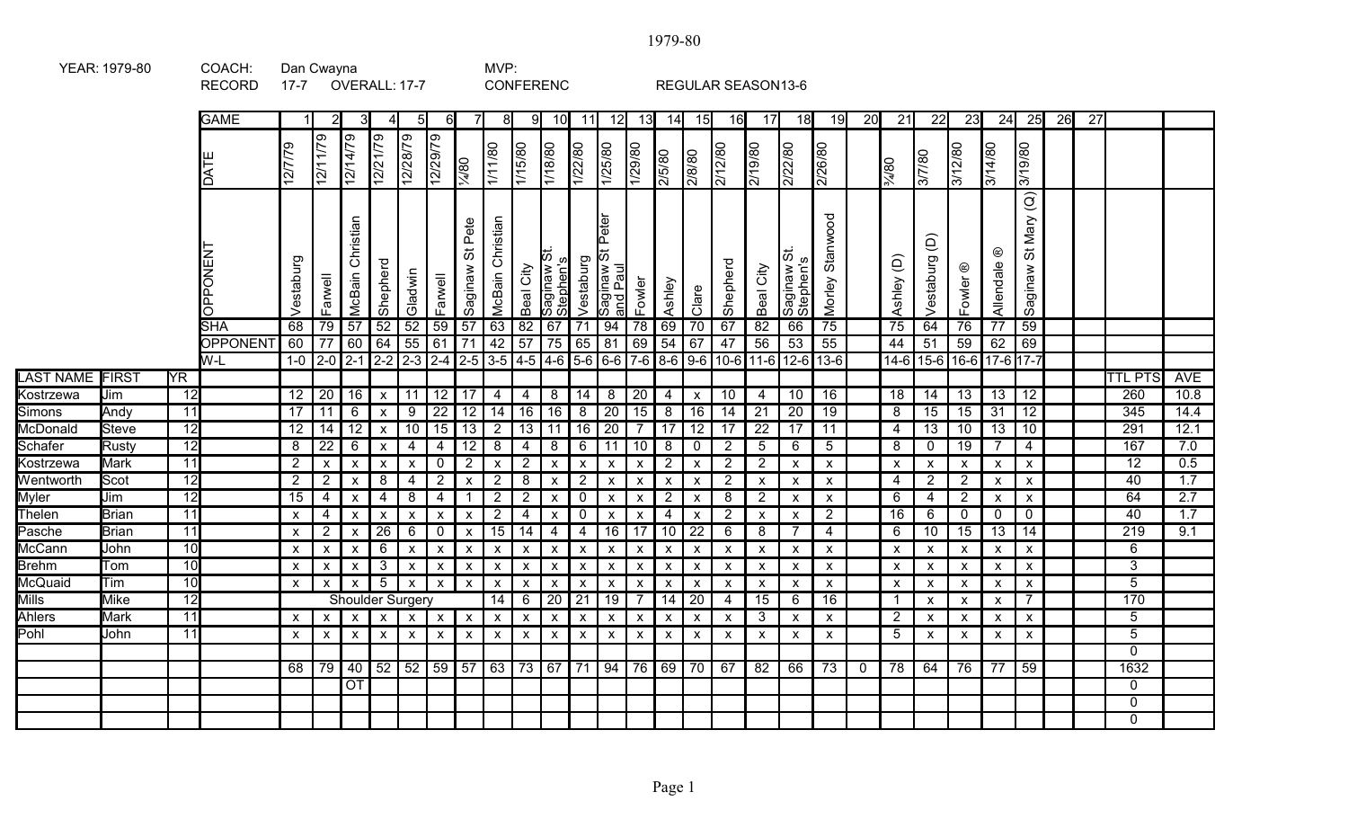|                        |             |                        | <b>RECORD</b>                | 17-7                      |                           | OVERALL: 17-7                 |                           |                           |                           |                            |                           |                           | <b>CONFERENC</b>             |                           |                                         |                           |                           |                           | REGULAR SEASON13-6        |                           |                                             |                           |             |                                    |                                       |                           |                      |                                                             |    |                 |                  |                  |
|------------------------|-------------|------------------------|------------------------------|---------------------------|---------------------------|-------------------------------|---------------------------|---------------------------|---------------------------|----------------------------|---------------------------|---------------------------|------------------------------|---------------------------|-----------------------------------------|---------------------------|---------------------------|---------------------------|---------------------------|---------------------------|---------------------------------------------|---------------------------|-------------|------------------------------------|---------------------------------------|---------------------------|----------------------|-------------------------------------------------------------|----|-----------------|------------------|------------------|
|                        |             |                        | <b>GAME</b>                  |                           |                           | 3                             | 4                         | 5                         | 61                        |                            | 8                         | 91                        | 10 <sup>1</sup>              | <u>11</u>                 | 12                                      | 13                        | 14                        | 15                        | 16                        | 17                        | 18                                          | 19                        | 20          | $\overline{21}$                    | 22                                    | 23                        | $\overline{24}$      | 25                                                          | 26 | $\overline{27}$ |                  |                  |
|                        |             |                        | <b>HYQ</b>                   | 12/7/79                   | 12/11/79                  | 12/14/79                      | 12/21/79                  | 12/28/79                  | 12/29/79                  | 1/4/80                     | 08/1/1                    | 1/15/80                   | $\frac{1}{1880}$             | 1/22/80                   | 1/25/80                                 | 1/29/80                   | 2/5/80                    | 2/8/80                    | 2/12/80                   | 2/19/80                   | 08/27/2                                     | 08/97/2                   |             | $\frac{9}{480}$                    | 3/7/80                                | 3/12/80                   | 3/14/80              | 3/19/80                                                     |    |                 |                  |                  |
|                        |             |                        | <b>OPPONEN</b><br><b>SHA</b> | Vestaburg<br>68           | Farwell<br>79             | Christian<br>McBain<br>57     | Shepherd<br>52            | Gladwin<br>52             | Farwell<br>59             | Pete<br>お<br>Saginaw<br>57 | Christian<br>McBain<br>63 | City<br>Beal<br>82        | saginaw S<br>Stephen's<br>67 | Vestaburg<br>71           | St Peter<br>Saginaw :<br>and Paul<br>94 | Fowler<br>78              | Ashley<br>69              | Clare<br>70               | Shepherd<br>67            | City<br>Beal<br>82        | Ó<br>stephen's<br>منابع الله الله علي<br>66 | Stanwood<br>Morley<br>75  |             | $\widehat{\Theta}$<br>Ashley<br>75 | $\widehat{\Theta}$<br>Vestaburg<br>64 | Fowler<br>76              | ⊛<br>Allendale<br>77 | $\overline{a}$<br>Mary<br>$\breve{\sigma}$<br>Saginaw<br>59 |    |                 |                  |                  |
|                        |             |                        | OPPONENT                     | 60                        | $\overline{77}$           | 60                            | 64                        | 55                        | 61                        | $\overline{71}$            | 42                        | 57                        | 75                           | 65                        | 81                                      | 69                        | 54                        | 67                        | 47                        | 56                        | 53                                          | $\overline{55}$           |             | 44                                 | 51                                    | 59                        | 62                   | 69                                                          |    |                 |                  |                  |
|                        |             |                        | $W-L$                        | $1-0$                     | $2-0$                     | $2-1$ $2-2$ $2-3$ $2-4$ $2-5$ |                           |                           |                           |                            |                           | $3-5$ 4-5                 | $4-6$ 5-6                    |                           |                                         |                           |                           |                           | $6-6$ 7-6 8-6 9-6 10-6    |                           | $11-6$ 12-6 13-6                            |                           |             |                                    |                                       | 14-6 15-6 16-6 17-6 17-7  |                      |                                                             |    |                 |                  |                  |
| <b>LAST NAME FIRST</b> |             | $\overline{\text{YR}}$ |                              |                           |                           |                               |                           |                           |                           |                            |                           |                           |                              |                           |                                         |                           |                           |                           |                           |                           |                                             |                           |             |                                    |                                       |                           |                      |                                                             |    |                 | <b>TTL PTS</b>   | <b>AVE</b>       |
| Kostrzewa              | Jim         | $\overline{12}$        |                              | 12                        | $\overline{20}$           | 16                            |                           | $x \mid 11$               |                           | $12$ 17                    | 4                         | 4                         | 8                            | $\overline{14}$           | 8                                       | $\overline{20}$           | $\overline{4}$            | $\pmb{\chi}$              | 10                        | $\overline{4}$            | 10                                          | $\overline{16}$           |             | 18                                 | 14                                    | 13                        | 13                   | 12                                                          |    |                 | $\overline{260}$ | 10.8             |
| Simons                 | Andy        | $\overline{11}$        |                              | $\overline{17}$           | $\overline{11}$           | $\overline{6}$                | $\mathsf X$               | 9                         | $\overline{22}$           | $\overline{12}$            | $\overline{14}$           | 16                        | $\overline{16}$              | 8                         | $\overline{20}$                         | 15                        | 8                         | $\overline{16}$           | $\overline{14}$           | $\overline{21}$           | $\overline{20}$                             | $\overline{19}$           |             | 8                                  | $\overline{15}$                       | 15                        | $\overline{31}$      | $\overline{12}$                                             |    |                 | 345              | 14.4             |
| McDonald               | Steve       | 12                     |                              | 12                        | $\overline{14}$           | $\overline{12}$               | $\mathsf{x}$              | $\overline{10}$           | $\overline{15}$           | 13                         | $\overline{2}$            | 13                        | 11                           | 16                        | $\overline{20}$                         | $\overline{7}$            | $\overline{17}$           | $\overline{12}$           | 17                        | $\overline{22}$           | 17                                          | 11                        |             | 4                                  | $\overline{13}$                       | 10                        | $\overline{13}$      | 10                                                          |    |                 | 291              | 12.1             |
| Schafer                | Rusty       | 12                     |                              | 8                         | $\overline{22}$           | $6\overline{6}$               | $\boldsymbol{\mathsf{x}}$ | 4                         | 4                         | $\overline{12}$            | 8                         | 4                         | 8                            | 6                         | 11                                      | 10                        | 8                         | $\mathbf 0$               | $\overline{c}$            | $5\phantom{.0}$           | 6                                           | 5                         |             | 8                                  | $\mathbf 0$                           | 19                        | $\overline{7}$       | $\overline{4}$                                              |    |                 | 167              | 7.0              |
| Kostrzewa              | Mark        | $\overline{11}$        |                              | $\overline{2}$            | $\pmb{\mathsf{x}}$        | $\boldsymbol{\mathsf{x}}$     | $\mathsf{x}$              | $\boldsymbol{\mathsf{x}}$ | $\mathbf 0$               | $\overline{2}$             | $\boldsymbol{\mathsf{x}}$ | $\overline{2}$            | $\boldsymbol{\mathsf{x}}$    | X                         | X                                       | $\pmb{\mathsf{x}}$        | $\overline{2}$            | $\pmb{\mathsf{x}}$        | $\overline{2}$            | $\overline{2}$            | $\boldsymbol{\mathsf{x}}$                   | X                         |             | X                                  | $\boldsymbol{\mathsf{x}}$             | $\mathsf{x}$              | $\mathsf X$          | $\mathsf{x}$                                                |    |                 | $\overline{12}$  | 0.5              |
| Wentworth              | Scot        | $\overline{12}$        |                              | $\overline{2}$            | $\overline{2}$            | $\pmb{\mathsf{X}}$            | 8                         | 4                         | $\overline{2}$            | $\boldsymbol{\mathsf{x}}$  | $\overline{c}$            | 8                         | X                            | $\overline{c}$            | X                                       | $\boldsymbol{\mathsf{x}}$ | $\boldsymbol{\mathsf{x}}$ | $\boldsymbol{\mathsf{x}}$ | $\overline{2}$            | $\boldsymbol{\mathsf{x}}$ | $\boldsymbol{\mathsf{x}}$                   | $\boldsymbol{\mathsf{x}}$ |             | 4                                  | $\overline{2}$                        | $\overline{2}$            | X                    | $\boldsymbol{\mathsf{x}}$                                   |    |                 | 40               | 1.7              |
| Myler                  | Jim         | $\overline{12}$        |                              | $\overline{15}$           | $\overline{4}$            | $\pmb{\mathsf{X}}$            | 4                         | 8                         | 4                         | $\mathbf{1}$               | $\mathbf{2}$              | $\sqrt{2}$                | X                            | $\pmb{0}$                 | $\pmb{\mathsf{x}}$                      | $\boldsymbol{\mathsf{x}}$ | $\overline{2}$            | $\pmb{\mathsf{X}}$        | $\bf 8$                   | $\overline{2}$            | $\boldsymbol{\mathsf{X}}$                   | X                         |             | 6                                  | 4                                     | $\overline{2}$            | $\pmb{\mathsf{x}}$   | $\mathsf{x}$                                                |    |                 | 64               | $\overline{2.7}$ |
| Thelen                 | Brian       | 11                     |                              | $\boldsymbol{\mathsf{x}}$ | 4                         | $\pmb{\times}$                | $\boldsymbol{\mathsf{X}}$ | $\boldsymbol{\mathsf{X}}$ | $\boldsymbol{\mathsf{x}}$ | $\pmb{\mathsf{X}}$         | $\overline{c}$            | 4                         | X                            | 0                         | $\pmb{\mathsf{x}}$                      | $\pmb{\mathsf{X}}$        | $\overline{\mathbf{4}}$   | $\pmb{\mathsf{x}}$        | $\overline{2}$            | $\boldsymbol{\mathsf{x}}$ | $\boldsymbol{\mathsf{x}}$                   | $\overline{2}$            |             | $\overline{16}$                    | 6                                     | $\mathbf 0$               | 0                    | $\mathbf 0$                                                 |    |                 | 40               | 1.7              |
| Pasche                 | Brian       | 11                     |                              | $\pmb{\mathsf{X}}$        | $\overline{2}$            | $\pmb{\mathsf{X}}$            | 26                        | 6                         | $\mathbf 0$               | $\boldsymbol{\mathsf{x}}$  | 15                        | 14                        | 4                            | 4                         | 16                                      | 17                        | 10                        | $\overline{22}$           | $6\phantom{1}6$           | 8                         | -7                                          | 4                         |             | 6                                  | 10 <sup>°</sup>                       | 15                        | 13                   | 14                                                          |    |                 | 219              | 9.1              |
| McCann                 | John        | 10                     |                              | $\boldsymbol{\mathsf{x}}$ | $\pmb{\mathsf{X}}$        | $\pmb{\mathsf{X}}$            | 6                         | $\boldsymbol{\mathsf{x}}$ | $\boldsymbol{\mathsf{x}}$ | $\pmb{\mathsf{X}}$         | X                         | $\boldsymbol{\mathsf{x}}$ | X                            | X                         | $\pmb{\mathsf{x}}$                      | $\boldsymbol{\mathsf{X}}$ | $\pmb{\mathsf{x}}$        | $\pmb{\mathsf{X}}$        | $\pmb{\mathsf{x}}$        | $\boldsymbol{\mathsf{x}}$ | $\boldsymbol{\mathsf{x}}$                   | X                         |             | X                                  | $\boldsymbol{\mathsf{x}}$             | $\boldsymbol{\mathsf{x}}$ | X                    | $\mathsf{x}$                                                |    |                 | 6                |                  |
| <b>Brehm</b>           | Tom         | 10                     |                              | $\pmb{\mathsf{X}}$        | $\pmb{\mathsf{x}}$        | $\pmb{\mathsf{X}}$            | 3                         | $\boldsymbol{\mathsf{x}}$ | $\pmb{\mathsf{X}}$        | $\pmb{\mathsf{X}}$         | X                         | $\boldsymbol{\mathsf{x}}$ | X                            | $\pmb{\mathsf{x}}$        | $\pmb{\mathsf{x}}$                      | $\boldsymbol{\mathsf{X}}$ | $\pmb{\mathsf{x}}$        | $\pmb{\mathsf{x}}$        | $\pmb{\mathsf{X}}$        | $\boldsymbol{\mathsf{x}}$ | $\boldsymbol{\mathsf{X}}$                   | $\boldsymbol{\mathsf{x}}$ |             | X                                  | $\pmb{\mathsf{X}}$                    | $\boldsymbol{\mathsf{x}}$ | X                    | $\mathsf{x}$                                                |    |                 | 3                |                  |
| McQuaid                | Tim         | 10                     |                              | $\pmb{\mathsf{X}}$        | $\pmb{\mathsf{x}}$        | $\pmb{\chi}$                  | $5\overline{)}$           | $\pmb{\mathsf{X}}$        | $\pmb{\mathsf{X}}$        | $\boldsymbol{\mathsf{x}}$  | $\boldsymbol{\mathsf{x}}$ | $\boldsymbol{\mathsf{x}}$ | $\boldsymbol{\mathsf{X}}$    | $\pmb{\mathsf{x}}$        | $\pmb{\mathsf{x}}$                      | $\pmb{\mathsf{x}}$        | $\pmb{\times}$            | $\pmb{\mathsf{x}}$        | $\pmb{\mathsf{x}}$        | $\boldsymbol{\mathsf{x}}$ | $\mathbf{x}$                                | $\pmb{\times}$            |             | $\pmb{\mathsf{x}}$                 | $\pmb{\mathsf{X}}$                    | $\pmb{\mathsf{X}}$        | $\pmb{\mathsf{x}}$   | $\boldsymbol{\mathsf{x}}$                                   |    |                 | $\overline{5}$   |                  |
| Mills                  | <b>Mike</b> | $\overline{12}$        |                              |                           |                           | <b>Shoulder Surgery</b>       |                           |                           |                           |                            | $\overline{14}$           | 6                         | $\overline{20}$              | 21                        | $\overline{19}$                         | $\overline{7}$            | $\overline{14}$           | $\overline{20}$           | $\overline{4}$            | $\overline{15}$           | 6                                           | 16                        |             |                                    | $\pmb{\mathsf{X}}$                    | $\pmb{\mathsf{X}}$        | X                    | $\overline{7}$                                              |    |                 | 170              |                  |
| Ahlers                 | <b>Mark</b> | 11                     |                              | $\mathsf{x}$              | $\pmb{\mathsf{X}}$        | $\boldsymbol{\mathsf{x}}$     | $\mathsf{x}$              | $\boldsymbol{\mathsf{x}}$ | $\pmb{\mathsf{X}}$        | $\pmb{\chi}$               | $\pmb{\mathsf{x}}$        | $\boldsymbol{\mathsf{x}}$ | X                            | $\boldsymbol{\mathsf{x}}$ | $\mathsf{x}$                            | $\pmb{\mathsf{X}}$        | $\boldsymbol{\mathsf{x}}$ | $\boldsymbol{\mathsf{x}}$ | $\boldsymbol{\mathsf{x}}$ | 3                         | $\boldsymbol{\mathsf{x}}$                   | X                         |             | $\overline{2}$                     | $\mathsf{x}$                          | $\mathsf{x}$              | $\mathsf{x}$         | $\mathsf{x}$                                                |    |                 | 5                |                  |
| Pohl                   | John        | $\overline{11}$        |                              | $\boldsymbol{\mathsf{x}}$ | $\boldsymbol{\mathsf{x}}$ | $\mathsf{x}$                  | $\mathsf{X}$              | $\mathsf{x}$              | $\boldsymbol{\mathsf{x}}$ | $\boldsymbol{\mathsf{x}}$  | $\mathsf{x}$              | $\mathsf{X}$              | X                            | $\mathsf{x}$              | $\mathsf{x}$                            | $\mathsf{x}$              | $\boldsymbol{\mathsf{x}}$ | $\mathsf{x}$              | $\boldsymbol{\mathsf{x}}$ | $\boldsymbol{\mathsf{x}}$ | $\boldsymbol{\mathsf{x}}$                   | $\boldsymbol{\mathsf{x}}$ |             | 5                                  | $\mathsf{x}$                          | $\mathsf{x}$              | X                    | $\mathsf{x}$                                                |    |                 | $\overline{5}$   |                  |
|                        |             |                        |                              |                           |                           |                               |                           |                           |                           |                            |                           |                           |                              |                           |                                         |                           |                           |                           |                           |                           |                                             |                           |             |                                    |                                       |                           |                      |                                                             |    |                 | $\mathbf{0}$     |                  |
|                        |             |                        |                              | 68                        | 79                        | 40                            |                           |                           | $52$ 52 59 57             |                            |                           |                           | 63 73 67 71                  |                           |                                         |                           | $94$ 76 69                | 70                        | 67                        | 82                        | 66                                          | $\overline{73}$           | $\mathbf 0$ | 78                                 | 64                                    | 76                        | 77                   | $\overline{59}$                                             |    |                 | 1632             |                  |
|                        |             |                        |                              |                           |                           | $\overline{OT}$               |                           |                           |                           |                            |                           |                           |                              |                           |                                         |                           |                           |                           |                           |                           |                                             |                           |             |                                    |                                       |                           |                      |                                                             |    |                 | $\mathbf{0}$     |                  |
|                        |             |                        |                              |                           |                           |                               |                           |                           |                           |                            |                           |                           |                              |                           |                                         |                           |                           |                           |                           |                           |                                             |                           |             |                                    |                                       |                           |                      |                                                             |    |                 | $\mathbf 0$      |                  |
|                        |             |                        |                              |                           |                           |                               |                           |                           |                           |                            |                           |                           |                              |                           |                                         |                           |                           |                           |                           |                           |                                             |                           |             |                                    |                                       |                           |                      |                                                             |    |                 | 0                |                  |

## 1979-80

YEAR: 1979-80 COACH: Dan Cwayna COACH: Dan Cwayna

Dan Cwayna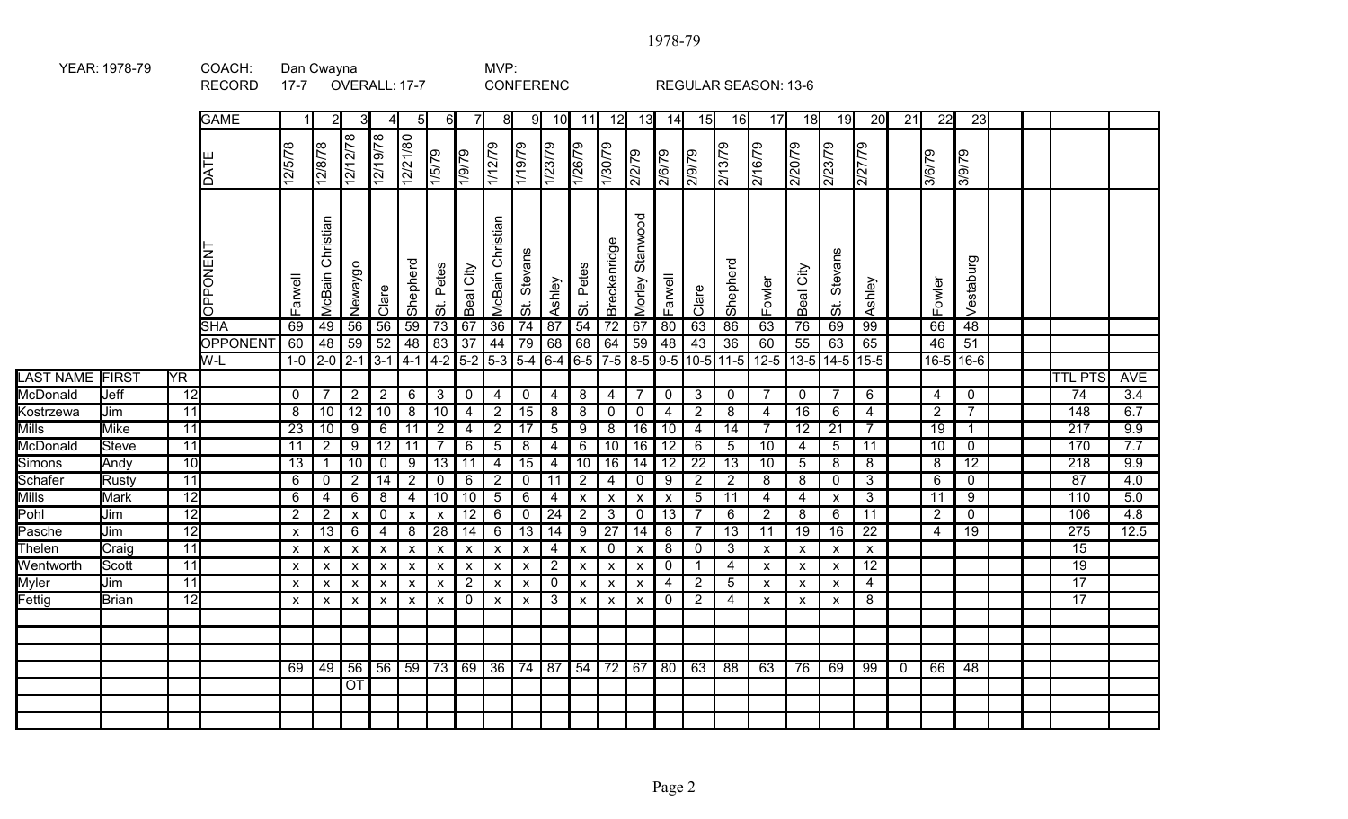|                                           | YEAR: 1978-79 |                 | COACH:<br><b>RECORD</b> | Dan Cwayna<br>$17 - 7$    |                           | OVERALL: 17-7      |                    |                           |                           |                           | MVP:<br><b>CONFERENC</b>  |                    |                  |                                    |                           |                           |                           |                 | <b>REGULAR SEASON: 13-6</b>                                                                                        |                    |                     |                            |                 |                 |                 |                   |  |                  |                  |
|-------------------------------------------|---------------|-----------------|-------------------------|---------------------------|---------------------------|--------------------|--------------------|---------------------------|---------------------------|---------------------------|---------------------------|--------------------|------------------|------------------------------------|---------------------------|---------------------------|---------------------------|-----------------|--------------------------------------------------------------------------------------------------------------------|--------------------|---------------------|----------------------------|-----------------|-----------------|-----------------|-------------------|--|------------------|------------------|
|                                           |               |                 | <b>GAME</b>             | $\mathbf{1}$              | 2                         | 3                  |                    | 51                        | 6                         |                           | 8                         | 91                 | 10               | 11                                 | $\overline{12}$           | 13                        | 14                        | 15              | 16                                                                                                                 | 17                 | 18                  | 19                         | $\overline{20}$ | $\overline{21}$ | $\overline{22}$ | $\overline{23}$   |  |                  |                  |
|                                           |               |                 | DATE                    | 12/5/78                   | 12/8/78                   | 12/12/78           | 12/19/78           | 12/21/80                  | 1/5/79                    | 62/61                     | 1/12/79                   | 1/19/79            | $\frac{1}{2379}$ | 1/26/79                            | 1/30/79                   | 2/2/79                    | 2/6/79                    | 2/9/79          | 2/13/79                                                                                                            | $\frac{6216}{79}$  | 2/20/79             | 2/23/79                    | 2/27/79         |                 | 3/6/79          | 8/9/79            |  |                  |                  |
| <b>OPPONENT</b><br><b>SHA</b><br>OPPONENT |               |                 |                         | Farwell                   | McBain Christian          | Newaygo            | Clare              | Shepherd                  | Petes<br>$\ddot{\circ}$   | Beal City                 | <b>McBain Christian</b>   | St. Stevans        | Ashley           | Petes<br>$\overline{\ddot{\circ}}$ | Breckenridge              | Stanwood<br>Morley        | Farwell                   | Clare           | Shepherd                                                                                                           | Fowler             | Beal City           | Stevans<br>$\ddot{\sigma}$ | Ashley          |                 | Fowler          | Vestaburg         |  |                  |                  |
|                                           |               |                 |                         | 69                        | 49                        | 56                 | 56                 | 59                        | $\sqrt{73}$               | $\overline{67}$           | 36                        | $\overline{74}$    | 87               | 54                                 | 72                        | 67                        | 80                        | 63              | 86                                                                                                                 | 63                 | 76                  | 69                         | 99              |                 | 66              | 48                |  |                  |                  |
|                                           |               |                 | W-L                     | 60                        | 48                        | 59                 | 52                 | 48                        | $\sqrt{83}$               | $\overline{37}$           | 44                        | $\overline{79}$    | 68               | 68                                 | 64                        | 59                        | 48                        | 43              | $\overline{36}$<br>1-0   2-0   2-1   3-1   4-1   4-2   5-2   5-3   5-4   6-4   6-5   7-5   8-5   9-5   10-5   11-5 | 60<br>$12-5$       | 55<br>$13 - 5$ 14-5 | 63                         | 65<br>$15 - 5$  |                 | 46              | 51<br>$16-5$ 16-6 |  |                  |                  |
| <b>LAST NAME</b>                          | <b>FIRST</b>  | <b>YR</b>       |                         |                           |                           |                    |                    |                           |                           |                           |                           |                    |                  |                                    |                           |                           |                           |                 |                                                                                                                    |                    |                     |                            |                 |                 |                 |                   |  | <b>TTL PTS</b>   | <b>AVE</b>       |
| McDonald                                  | Jeff          | $\overline{12}$ |                         | $\mathbf{0}$              | $\overline{7}$            | $\overline{2}$     | $2^{\circ}$        | 6                         | 3                         | $\mathbf 0$               | $\overline{4}$            | $\mathbf 0$        | $\overline{4}$   | 8                                  | $\overline{4}$            | 7                         | $\mathbf 0$               | $\mathbf{3}$    | $\overline{0}$                                                                                                     | $\overline{7}$     | $\mathbf 0$         | $\overline{7}$             | 6               |                 | 4               | $\mathbf 0$       |  | 74               | $\overline{3.4}$ |
| Kostrzewa                                 | Jim           | 11              |                         | 8                         | 10                        | $\overline{12}$    | 10                 | 8                         | $\overline{10}$           | $\overline{4}$            | $\overline{2}$            | $\overline{15}$    | 8                | 8                                  | $\mathbf 0$               | $\mathbf 0$               | $\overline{4}$            | $\overline{2}$  | 8                                                                                                                  | 4                  | 16                  | 6                          | 4               |                 | $\overline{2}$  | $\overline{7}$    |  | 148              | 6.7              |
| Mills                                     | <b>Mike</b>   | $\overline{11}$ |                         | $\overline{23}$           | $\overline{10}$           | 9                  | 6                  | 11                        | $\overline{2}$            | 4                         | $\overline{2}$            | $\overline{17}$    | $\overline{5}$   | $\overline{9}$                     | 8                         | 16                        | $\overline{10}$           | $\overline{4}$  | $\overline{14}$                                                                                                    | $\overline{7}$     | 12                  | $\overline{21}$            | $\overline{7}$  |                 | $\overline{19}$ | $\mathbf{1}$      |  | $\overline{217}$ | 9.9              |
| McDonald                                  | <b>Steve</b>  | $\overline{11}$ |                         | 11                        | $\overline{2}$            | 9                  | 12                 | 11                        | -7                        | 6                         | $\sqrt{5}$                | $\overline{8}$     | $\overline{4}$   | $6\overline{6}$                    | 10                        | 16                        | 12                        | 6               | 5                                                                                                                  | 10                 | 4                   | $5\overline{)}$            | 11              |                 | 10              | $\mathbf 0$       |  | 170              | 7.7              |
| Simons                                    | Andy          | 10              |                         | 13                        | $\overline{1}$            | 10                 | $\mathbf 0$        | 9                         | 13                        | 11                        | $\overline{4}$            | 15                 | $\overline{4}$   | 10                                 | 16                        | 14                        | 12                        | 22              | $\overline{13}$                                                                                                    | 10                 | $\sqrt{5}$          | 8                          | 8               |                 | 8               | 12                |  | 218              | 9.9              |
| Schafer                                   | <b>Rusty</b>  | $\overline{11}$ |                         | 6                         | $\mathbf 0$               | $\overline{2}$     | 14                 | $\overline{2}$            | $\mathbf 0$               | 6                         | $\overline{2}$            | $\mathbf 0$        | $\overline{11}$  | $\overline{2}$                     | $\overline{4}$            | $\mathbf 0$               | 9                         | $\overline{2}$  | $\overline{2}$                                                                                                     | $\overline{8}$     | $\overline{8}$      | $\mathbf 0$                | $\overline{3}$  |                 | $\overline{6}$  | $\overline{0}$    |  | 87               | 4.0              |
| Mills                                     | <b>Mark</b>   | $\overline{12}$ |                         | 6                         | $\overline{4}$            | 6                  | 8                  | 4                         | $\overline{10}$           | 10                        | $5\phantom{.0}$           | $6\phantom{.}6$    | $\overline{4}$   | $\pmb{\mathsf{X}}$                 | $\mathsf{x}$              | $\pmb{\chi}$              | $\boldsymbol{\mathsf{x}}$ | $5\phantom{.0}$ | $\overline{11}$                                                                                                    | $\overline{4}$     | 4                   | $\boldsymbol{\mathsf{X}}$  | $\mathbf{3}$    |                 | 11              | 9                 |  | 110              | 5.0              |
| Pohl                                      | Jim           | 12              |                         | $\overline{2}$            | $\overline{2}$            | $\pmb{\mathsf{x}}$ | $\mathbf 0$        | $\pmb{\mathsf{X}}$        | $\boldsymbol{\mathsf{X}}$ | $\overline{12}$           | $\,6\,$                   | $\overline{0}$     | 24               | $\overline{2}$                     | $\overline{3}$            | $\pmb{0}$                 | $\overline{13}$           | $\overline{7}$  | 6                                                                                                                  | $\overline{2}$     | 8                   | 6                          | $\overline{11}$ |                 | $\overline{2}$  | $\mathbf 0$       |  | 106              | 4.8              |
| Pasche                                    | Jim           | 12              |                         | $\pmb{\mathsf{X}}$        | $\overline{13}$           | 6                  | $\sqrt{4}$         | $\overline{\mathbf{8}}$   | 28                        | $\overline{14}$           | $6\phantom{.}6$           | 13                 | 14               |                                    | $9 \mid 27$               | 14                        | 8                         | $\overline{7}$  | $\overline{13}$                                                                                                    | 11                 | 19                  | 16                         | $\overline{22}$ |                 | $\overline{4}$  | $\overline{19}$   |  | $\overline{275}$ | 12.5             |
| Thelen                                    | Craig         | $\overline{11}$ |                         | $\boldsymbol{\mathsf{X}}$ | $\pmb{\mathsf{X}}$        | $\pmb{\mathsf{X}}$ | $\pmb{\mathsf{X}}$ | $\pmb{\mathsf{X}}$        | $\boldsymbol{\mathsf{x}}$ | $\pmb{\mathsf{X}}$        | $\pmb{\times}$            | $\pmb{\mathsf{x}}$ | $\overline{4}$   | $\pmb{\mathsf{x}}$                 | $\mathbf 0$               | $\boldsymbol{\mathsf{x}}$ | 8                         | $\mathbf 0$     | $\mathbf{3}$                                                                                                       | $\pmb{\mathsf{X}}$ | $\pmb{\chi}$        | $\boldsymbol{\mathsf{x}}$  | $\pmb{\times}$  |                 |                 |                   |  | 15               |                  |
| Wentworth                                 | Scott         | $\overline{11}$ |                         | $\boldsymbol{\mathsf{x}}$ | $\boldsymbol{\mathsf{x}}$ | X                  | $\pmb{\mathsf{X}}$ | X                         | $\boldsymbol{\mathsf{x}}$ | $\boldsymbol{\mathsf{x}}$ | $\pmb{\times}$            | $\pmb{\mathsf{x}}$ | 2 <sup>7</sup>   | $\pmb{\mathsf{X}}$                 | $\boldsymbol{\mathsf{X}}$ | $\boldsymbol{\mathsf{x}}$ | $\mathbf 0$               | $\overline{1}$  | $\overline{4}$                                                                                                     | $\pmb{\mathsf{X}}$ | $\pmb{\mathsf{X}}$  | $\boldsymbol{\mathsf{X}}$  | 12              |                 |                 |                   |  | $\overline{19}$  |                  |
| Myler                                     | Jim           | $\overline{11}$ |                         | $\boldsymbol{\mathsf{X}}$ | $\boldsymbol{\mathsf{x}}$ | $\mathsf{x}$       | $\mathsf{x}$       | $\mathsf{x}$              | $\boldsymbol{\mathsf{x}}$ | $\overline{2}$            | $\boldsymbol{\mathsf{x}}$ | $\pmb{\chi}$       | $\mathbf 0$      | $\mathsf{x}$                       | $\boldsymbol{\mathsf{X}}$ | $\boldsymbol{\mathsf{x}}$ | $\overline{4}$            | $\overline{2}$  | 5                                                                                                                  | $\pmb{\mathsf{X}}$ | $\pmb{\chi}$        | $\boldsymbol{\mathsf{X}}$  | 4               |                 |                 |                   |  | $\overline{17}$  |                  |
| Fettig                                    | <b>Brian</b>  | $\overline{12}$ |                         | $\boldsymbol{\mathsf{x}}$ | $\pmb{\mathsf{X}}$        | X                  | $\pmb{\mathsf{X}}$ | $\boldsymbol{\mathsf{x}}$ | $\boldsymbol{\mathsf{x}}$ | $\mathbf 0$               | $\boldsymbol{\mathsf{X}}$ | $\pmb{\mathsf{X}}$ | 3 <sup>1</sup>   | $\pmb{\mathsf{X}}$                 | $\boldsymbol{\mathsf{X}}$ | $\boldsymbol{\mathsf{x}}$ | $\mathbf 0$               | $\overline{2}$  | 4                                                                                                                  | $\mathsf{x}$       | $\mathsf{x}$        | $\mathsf{x}$               | 8               |                 |                 |                   |  | $\overline{17}$  |                  |
|                                           |               |                 |                         |                           |                           |                    |                    |                           |                           |                           |                           |                    |                  |                                    |                           |                           |                           |                 |                                                                                                                    |                    |                     |                            |                 |                 |                 |                   |  |                  |                  |
|                                           |               |                 |                         |                           |                           |                    |                    |                           |                           |                           |                           |                    |                  |                                    |                           |                           |                           |                 |                                                                                                                    |                    |                     |                            |                 |                 |                 |                   |  |                  |                  |
|                                           |               |                 |                         |                           |                           |                    |                    |                           |                           |                           |                           |                    |                  |                                    |                           |                           |                           |                 |                                                                                                                    |                    |                     |                            |                 |                 |                 |                   |  |                  |                  |
|                                           |               |                 |                         | 69                        | 49                        | 56                 |                    | $56$ 59 73                |                           |                           | $69 \mid 36 \mid 74$      |                    | 87               |                                    | $54$ 72 67                |                           | 80                        | 63              | 88                                                                                                                 | 63                 | 76                  | 69                         | 99              | $\mathbf{0}$    | 66              | 48                |  |                  |                  |
|                                           |               |                 |                         |                           |                           | $\overline{OT}$    |                    |                           |                           |                           |                           |                    |                  |                                    |                           |                           |                           |                 |                                                                                                                    |                    |                     |                            |                 |                 |                 |                   |  |                  |                  |
|                                           |               |                 |                         |                           |                           |                    |                    |                           |                           |                           |                           |                    |                  |                                    |                           |                           |                           |                 |                                                                                                                    |                    |                     |                            |                 |                 |                 |                   |  |                  |                  |
|                                           |               |                 |                         |                           |                           |                    |                    |                           |                           |                           |                           |                    |                  |                                    |                           |                           |                           |                 |                                                                                                                    |                    |                     |                            |                 |                 |                 |                   |  |                  |                  |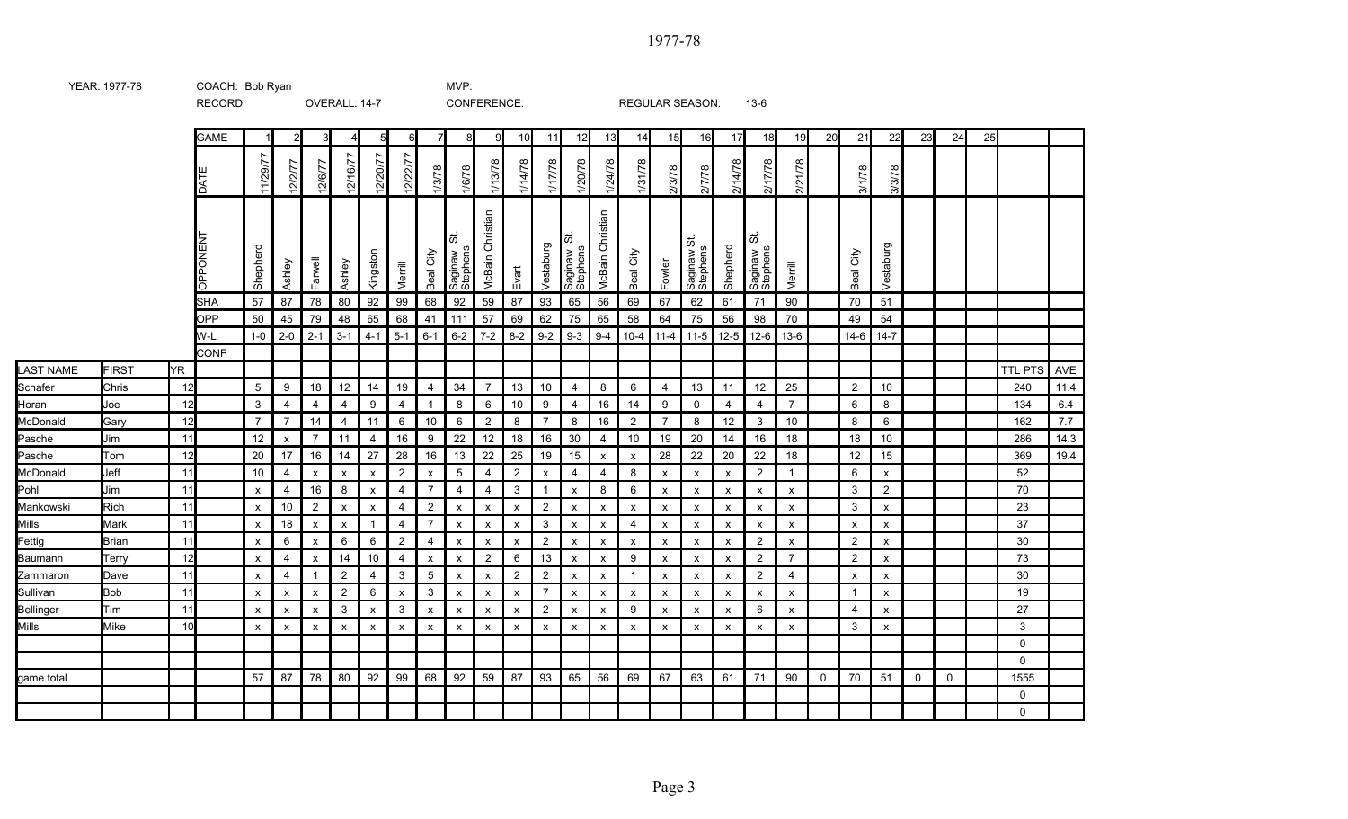|                    |              |          | <b>RECORD</b>   |                           |                |                      | OVERALL: 14-7           |                                      |                    |                     | CONFERENCE:               |                           |                           |                                             |                           |                           |                   |                     | REGULAR SEASON:           |                | $13-6$                    |                  |             |                           |                                |    |             |    |                |              |
|--------------------|--------------|----------|-----------------|---------------------------|----------------|----------------------|-------------------------|--------------------------------------|--------------------|---------------------|---------------------------|---------------------------|---------------------------|---------------------------------------------|---------------------------|---------------------------|-------------------|---------------------|---------------------------|----------------|---------------------------|------------------|-------------|---------------------------|--------------------------------|----|-------------|----|----------------|--------------|
|                    |              |          | <b>GAME</b>     |                           | $\overline{2}$ | 3                    |                         | $5\overline{a}$                      | 6                  | $\overline{7}$      | 8                         | 9                         | 10                        | 11                                          | 12                        | 13                        | 14                | 15                  | 16                        | 17             | 18                        | 19               | 20          | 21                        | 22                             | 23 | 24          | 25 |                |              |
|                    |              |          | DATE            | 11/29/77                  | 12/2/77        | 12/6/77              | 12/16/77                | 12/20/77                             | 12/22/77           | 1/3/78              | 1/6/78                    | 1/13/78                   | 1/14/78                   | 1/17/78                                     | 1/20/78                   | 1/24/78                   | 1/31/78           | 2/3/78              | 2/7/78                    | 2/14/78        | 2/17/78                   | 2/21/78          |             | 3/1/78                    | 3/3/78                         |    |             |    |                |              |
|                    |              |          | <b>DPPONENT</b> | Shepherd                  | Ashley         | Farwell              | Ashley                  | Kingston                             | Merrill            | Beal City           | 5<br>Saginaw<br>Stephens  | Christian<br>McBain       | Evart                     | Vestaburg                                   | 5<br>Saginaw<br>Stephens  | McBain Christian          | Beal City         | Fowler              | 5<br>Saginaw S            | Shepherd       | 5<br>Saginaw:<br>Stephens | Merrill          |             | City<br>Beal              | Vestaburg                      |    |             |    |                |              |
|                    |              |          | <b>SHA</b>      | 57                        | 87             | 78                   | 80                      | 92                                   | 99                 | 68                  | 92                        | 59                        | 87                        | 93                                          | 65                        | 56                        | 69                | 67                  | 62                        | 61             | 71                        | 90               |             | 70                        | 51                             |    |             |    |                |              |
|                    |              |          | OPP             | 50                        | 45             | 79                   | 48                      | 65                                   | 68                 | 41                  | 111                       | 57                        | 69                        | 62                                          | 75                        | 65                        | 58                | 64                  | 75                        | 56             | 98                        | 70               |             | 49                        | 54                             |    |             |    |                |              |
|                    |              |          | W-L             | $1-0$                     | $2 - 0$        | $2 - 1$              | $3 - 1$                 | $4 - 1$                              | $5 - 1$            | $6-1$               | $6 - 2$                   | $7 - 2$                   | $8 - 2$                   | $9 - 2$                                     | $9 - 3$                   | $9 - 4$                   | $10 - 4$          | $11 - 4$            | $11 - 5$                  | $12 - 5$       | $12-6$                    | $13-6$           |             | 14-6                      | $14 - 7$                       |    |             |    |                |              |
|                    |              |          | CONF            |                           |                |                      |                         |                                      |                    |                     |                           |                           |                           |                                             |                           |                           |                   |                     |                           |                |                           |                  |             |                           |                                |    |             |    |                |              |
| <b>LAST NAME</b>   | <b>FIRST</b> | ŀΥR      |                 |                           |                |                      |                         |                                      |                    |                     |                           |                           |                           |                                             |                           |                           |                   |                     |                           |                |                           |                  |             |                           |                                |    |             |    | <b>TTL PTS</b> | AVE          |
| Schafer            | Chris        | 12       |                 | 5                         | 9              | 18                   | 12                      | 14                                   | 19                 | 4                   | 34                        | $\overline{7}$            | 13                        | 10                                          | $\overline{4}$            | 8                         | 6                 | $\overline{4}$      | 13                        | 11             | 12                        | 25               |             | $\overline{2}$            | 10                             |    |             |    | 240            | 11.4         |
| Horan              | Joe          | 12       |                 | 3                         | 4              | 4                    | 4                       | 9                                    | 4                  | $\mathbf{1}$        | 8                         | 6                         | $10\,$                    | 9                                           | 4                         | 16                        | 14                | 9                   | $\mathbf 0$               | $\overline{4}$ | 4                         | $\overline{7}$   |             | 6                         | 8                              |    |             |    | 134            | $6.4\,$      |
| McDonald           | Gary<br>Jim  | 12       |                 | $\overline{7}$            | $\overline{7}$ | 14                   | 4                       | 11                                   | 6                  | 10                  | 6                         | $\overline{2}$            | 8                         | $\overline{7}$                              | 8                         | 16                        | $\overline{2}$    | $\overline{7}$      | 8                         | 12             | 3                         | 10               |             | 8                         | 6                              |    |             |    | 162            | 7.7          |
| Pasche             | Tom          | 11<br>12 |                 | 12<br>20                  | X<br>17        | $\overline{7}$<br>16 | 11                      | $\overline{4}$<br>27                 | 16<br>28           | 9<br>16             | 22<br>13                  | 12<br>22                  | 18<br>25                  | 16<br>19                                    | 30                        | 4                         | 10                | 19<br>28            | 20<br>22                  | 14<br>20       | 16<br>22                  | 18<br>18         |             | 18<br>12                  | 10<br>15                       |    |             |    | 286<br>369     | 14.3<br>19.4 |
| Pasche<br>McDonald | Jeff         | 11       |                 | 10                        | 4              | X                    | 14                      |                                      | $\overline{2}$     |                     | $5\,$                     | 4                         |                           |                                             | 15<br>4                   | $\mathsf{x}$<br>4         | $\mathsf{x}$<br>8 |                     |                           |                | $\overline{2}$            | $\mathbf{1}$     |             | 6                         |                                |    |             |    | 52             |              |
| Pohl               | Jim          | 11       |                 | X                         | 4              | 16                   | $\pmb{\mathsf{x}}$<br>8 | $\pmb{\mathsf{x}}$<br>$\pmb{\times}$ | 4                  | X<br>$\overline{7}$ | 4                         | $\overline{4}$            | $\overline{2}$<br>3       | $\boldsymbol{\mathsf{x}}$<br>$\overline{1}$ | $\pmb{\mathsf{x}}$        | 8                         | 6                 | X<br>$\pmb{\times}$ | $\pmb{\times}$<br>X       | x<br>x         | x                         | $\boldsymbol{x}$ |             | $\mathbf{3}$              | $\mathsf{x}$<br>$\overline{2}$ |    |             |    | 70             |              |
| Mankowski          | Rich         | 11       |                 | $\boldsymbol{\mathsf{x}}$ | 10             | $\overline{2}$       | X                       | X                                    | $\overline{4}$     | $\overline{2}$      | $\boldsymbol{\mathsf{x}}$ | $\boldsymbol{\mathsf{x}}$ | x                         | $\overline{2}$                              | $\pmb{\chi}$              | x                         | x                 | $\pmb{\times}$      | x                         | x              | X                         | X                |             | 3                         | $\mathsf{x}$                   |    |             |    | 23             |              |
| Mills              | Mark         | 11       |                 | $\boldsymbol{\mathsf{x}}$ | 18             | x                    | $\pmb{\times}$          | $\mathbf{1}$                         | $\overline{4}$     | $\overline{7}$      | $\mathsf{x}$              | $\boldsymbol{\mathsf{x}}$ | $\boldsymbol{\mathsf{x}}$ | 3                                           | $\pmb{\mathsf{X}}$        | X                         | $\overline{4}$    | $\pmb{\times}$      | $\boldsymbol{\mathsf{x}}$ | X              | $\mathsf{x}$              | X                |             | $\boldsymbol{\mathsf{x}}$ | X                              |    |             |    | 37             |              |
| Fettig             | <b>Brian</b> | 11       |                 | x                         | 6              | X                    | 6                       | 6                                    | $\overline{2}$     | $\overline{4}$      | X                         | X                         | $\pmb{\mathsf{x}}$        | $\overline{2}$                              | X                         | x                         | х                 | X                   | X                         | X              | $\overline{2}$            | x                |             | $\overline{2}$            | $\mathsf{x}$                   |    |             |    | 30             |              |
| Baumann            | Terry        | 12       |                 | X                         | 4              | x                    | 14                      | 10                                   | 4                  | $\pmb{\mathsf{X}}$  | X                         | $\overline{2}$            | 6                         | 13                                          | $\mathsf{x}$              | $\pmb{\mathsf{X}}$        | 9                 | $\pmb{\mathsf{x}}$  | X                         | X              | $\overline{2}$            | $\overline{7}$   |             | $\overline{2}$            | $\mathsf{x}$                   |    |             |    | 73             |              |
| Zammaron           | Dave         | 11       |                 | x                         | 4              | $\mathbf{1}$         | $\overline{2}$          | $\overline{4}$                       | 3                  | $5\,$               | $\boldsymbol{\mathsf{x}}$ | $\boldsymbol{\mathsf{x}}$ | $\overline{2}$            | $\overline{2}$                              | $\pmb{\mathsf{X}}$        | x                         | $\mathbf{1}$      | $\pmb{\times}$      | $\boldsymbol{\mathsf{x}}$ | x              | $\overline{2}$            | $\overline{4}$   |             | X                         | X                              |    |             |    | 30             |              |
| Sullivan           | <b>Bob</b>   | 11       |                 | $\mathsf{x}$              | х              | x                    | $\overline{c}$          | 6                                    | $\pmb{\mathsf{x}}$ | 3                   | X                         | $\boldsymbol{\mathsf{x}}$ | $\boldsymbol{\mathsf{x}}$ | $\overline{7}$                              | $\boldsymbol{\mathsf{x}}$ | $\boldsymbol{\mathsf{x}}$ | х                 | $\pmb{\mathsf{x}}$  | $\boldsymbol{\mathsf{x}}$ | X              | $\boldsymbol{\mathsf{x}}$ | $\pmb{\times}$   |             |                           | X                              |    |             |    | 19             |              |
| Bellinger          | Tim          | 11       |                 | X                         | X              | X                    | 3                       | $\pmb{\times}$                       | 3                  | $\pmb{\mathsf{X}}$  | $\boldsymbol{\mathsf{x}}$ | $\boldsymbol{\mathsf{x}}$ | $\boldsymbol{\mathsf{x}}$ | $\overline{2}$                              | $\boldsymbol{\mathsf{x}}$ | $\boldsymbol{\mathsf{x}}$ | 9                 | $\pmb{\mathsf{x}}$  | $\boldsymbol{\mathsf{x}}$ | X              | 6                         | X                |             | $\overline{4}$            | X                              |    |             |    | 27             |              |
| <b>Mills</b>       | Mike         | 10       |                 | X                         | X              | X                    | $\pmb{\times}$          | $\pmb{\times}$                       | $\pmb{\mathsf{x}}$ | $\pmb{\chi}$        | $\pmb{\mathsf{x}}$        | $\mathsf{x}$              | $\pmb{\chi}$              | $\pmb{\chi}$                                | $\pmb{\times}$            | $\boldsymbol{\mathsf{x}}$ | X                 | $\pmb{\times}$      | $\boldsymbol{\mathsf{x}}$ | X              | $\boldsymbol{\mathsf{x}}$ | $\pmb{\chi}$     |             | 3                         | X                              |    |             |    | 3              |              |
|                    |              |          |                 |                           |                |                      |                         |                                      |                    |                     |                           |                           |                           |                                             |                           |                           |                   |                     |                           |                |                           |                  |             |                           |                                |    |             |    | $\mathbf 0$    |              |
|                    |              |          |                 |                           |                |                      |                         |                                      |                    |                     |                           |                           |                           |                                             |                           |                           |                   |                     |                           |                |                           |                  |             |                           |                                |    |             |    | $\mathbf 0$    |              |
| game total         |              |          |                 | 57                        | 87             | 78                   | 80                      | 92                                   | 99                 | 68                  | 92                        | 59                        | 87                        | 93                                          | 65                        | 56                        | 69                | 67                  | 63                        | 61             | 71                        | 90               | $\mathbf 0$ | 70                        | 51                             | 0  | $\mathbf 0$ |    | 1555           |              |
|                    |              |          |                 |                           |                |                      |                         |                                      |                    |                     |                           |                           |                           |                                             |                           |                           |                   |                     |                           |                |                           |                  |             |                           |                                |    |             |    | 0              |              |
|                    |              |          |                 |                           |                |                      |                         |                                      |                    |                     |                           |                           |                           |                                             |                           |                           |                   |                     |                           |                |                           |                  |             |                           |                                |    |             |    | $\Omega$       |              |

YEAR: 1977-78 COACH: Bob Ryan COACH: Bob 2011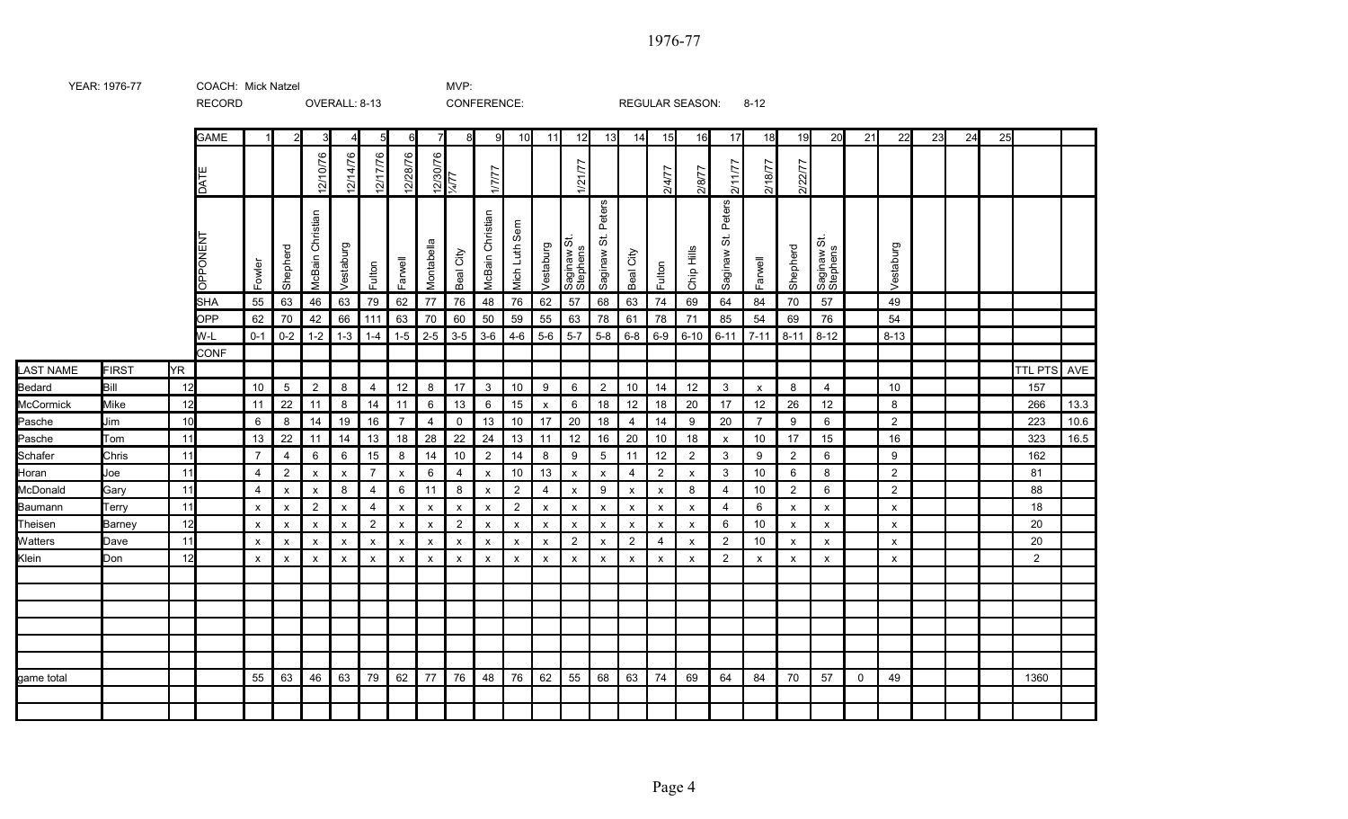RECORD OVERALL: 8-13 CONFERENCE: REGULAR SEASON: 8-12 GAME | 1| 2| 3| 4| 5| 6| 7| 8| 9| 10| 11| 12| 13| 14| 15| 16| 17| 18| 19| 20| 21| 22| 23| 24| 25 2/10/76 12/28/76 2/14/76 12/17/76 12/30/76<br>|<br>|4/77<br>|4/77 1/21/77 2/11/77 2/18/77 2/22/77 1/7/77 2/4/77 2/8/77 DA TE St. Peters Peters **VICBain Christian** McBain Christian McBain Christian McBain Christian Mich Luth Sem NEN TSaginaw St.  $\vec{\omega}$  $\ddot{\circ}$ **Shepherd** Montabella Vestaburg **Shepherd** Vestaburg Vestaburg Chip Hills Beal City Beal City Stephens Saginaw Saginaw Stephens Saginaw Farwell Farwell Fowler Fulton Fulton O<br>O<br>O<br>O SHA | 55 | 63 | 46 | 63 | 79 | 62 | 77 | 76 | 48 | 76 | 62 | 57 | 68 | 63 | 74 | 69 | 64 | 84 | 70 | 57 | | 49 OPP | 62 | 70 | 42 | 66 | 111 | 63 | 70 | 60 | 50 | 59 | 55 | 63 | 78 | 61 | 78 | 71 | 85 | 54 | 69 | 76 | GI W-L | 0-1 | 0-2 | 1-2 | 1-3 | 1-4 | 1-5 | 2-5 | 3-5 | 3-6 | 4-6 | 5-6 | 5-7 | 5-8 | 6-8 | 6-9 | 6-10 | 6-11 | 7-11 | 8-11 | 8-12 | | 8-13 CONF LAST NAME FIRST YR TTL PTS AVE Bedard Bill | 12 | 10 | 5 | 2 | 8 | 4 | 12 | 8 | 17 | 3 | 10 | 9 | 6 | 2 | 10 | 14 | 12 | 3 | x | 8 | 4 | | | 10 | | | | | 157 McCormick Mike | 12 | 11 | 22 | 11 | 8 | 14 | 11 | 6 | 13 | 6 | 15 | x | 6 | 18 | 12 | 18 | 20 | 17 | 12 | 26 | 12 | | 8 | | | | | 266 | 13.3 Pasche Jim | 10 | 6 | 8 | 14 | 19 | 16 | 7 | 4 | 0 | 13 | 10 | 17 | 20 | 18 | 4 | 14 | 9 | 20 | 7 | 9 | 6 | 0 | 2 | 0 | | 223 | 10.6 Pasche Tom | 11| | 13 | 22 | 11 | 14 | 13 | 18 | 28 | 22 | 24 | 13 | 11 | 12 | 16 | 20 | 10 | 18 | x | 10 | 17 | 15 | | 16 | | | 323 | 16.5 **Schafer** Chris | 11 | 7 | 4 | 6 | 6 | 15 | 8 | 14 | 10 | 2 | 14 | 8 | 9 | 5 | 11 | 12 | 2 | 3 | 9 | 2 | 6 | | 9 | | | | 162 **Horan** Joe | 11 | | 4 | 2 | x | x | 7 | x | 6 | 4 | x | 10 | 13 | x | x | 4 | 2 | x | 3 | 10 | 6 | 8 | | 2 | | | | | 81 McDonald Gary 11 4 x x 8 4 6 11 8 x 2 4 x 9 x x 8 4 10 2 6 2 88 Baumann Terry 11 x x 2 x 4 x x x x 2 x x x x x x 4 6 x x x 18 Theisen Barney 12 x x x x 2 x x 2 x x x x x x x x 6 10 x x x 20 **Watters** Dave 11 x x x x x x x x x x x 2 x 2 4 x 2 10 x x x 20 Klein Don 12 x x x x x x x x x x x x x x x x 2 x x x x 2 game total 55 63 46 63 79 62 77 76 48 76 62 55 68 63 74 69 64 84 70 57 0 49 1360

YEAR: 1976-77 COACH: MVP: Mick Natzel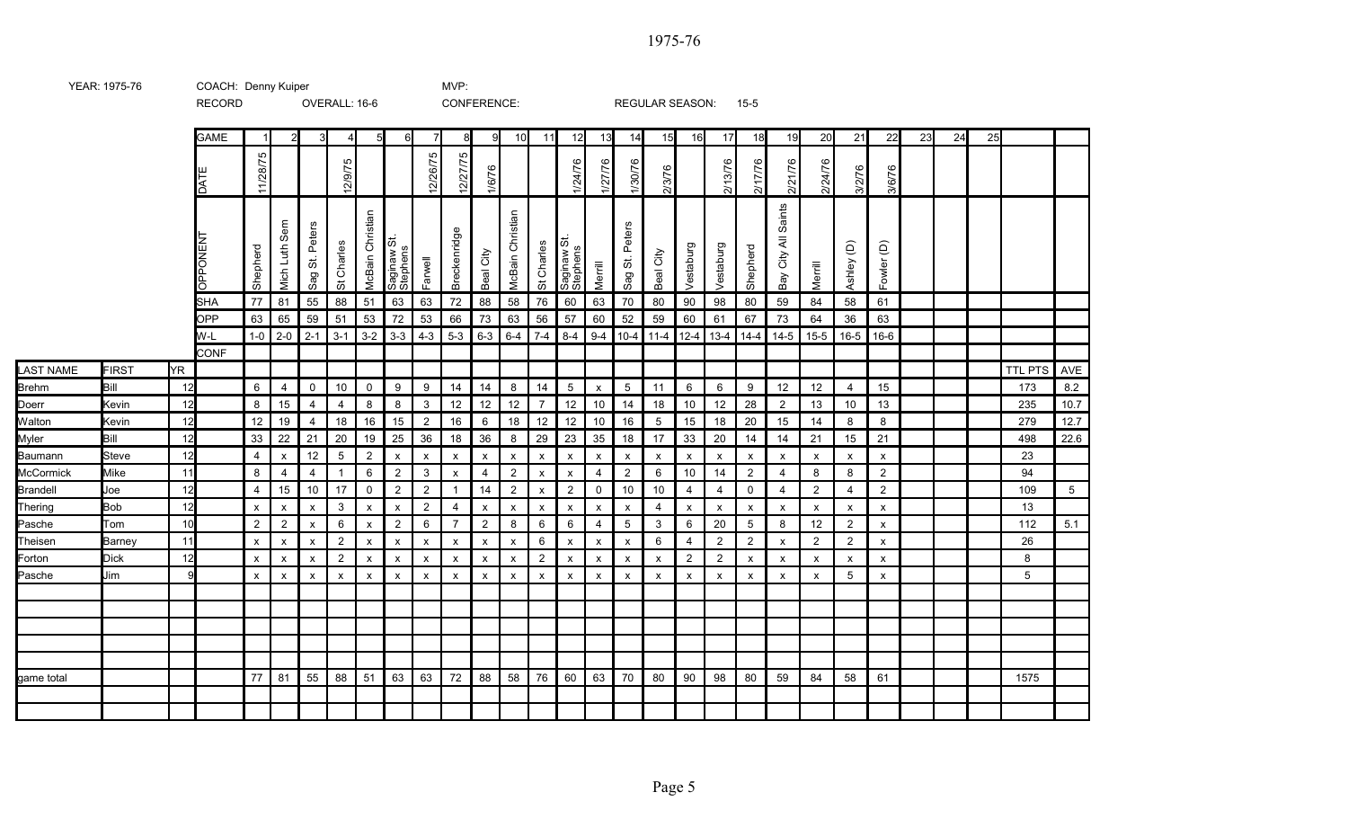|                  |              |               | <b>RECORD</b>   |                           |                           |                                                    | OVERALL: 16-6             |                           |                                         |                           | CONFERENCE:               |                           |                           |                           |                           |                           |                                                    | <b>REGULAR SEASON:</b> |                |                | $15 - 5$                  |                                                             |                           |                 |                           |    |    |    |                |         |
|------------------|--------------|---------------|-----------------|---------------------------|---------------------------|----------------------------------------------------|---------------------------|---------------------------|-----------------------------------------|---------------------------|---------------------------|---------------------------|---------------------------|---------------------------|---------------------------|---------------------------|----------------------------------------------------|------------------------|----------------|----------------|---------------------------|-------------------------------------------------------------|---------------------------|-----------------|---------------------------|----|----|----|----------------|---------|
|                  |              |               | <b>GAME</b>     |                           | $\overline{2}$            | $\mathbf{3}$                                       | $\overline{4}$            | $5 \vert$                 | 6                                       | $\overline{7}$            | 8                         | 9                         | 10                        | 11                        | 12                        | 13                        | 14                                                 | 15                     | 16             | 17             | 18                        | 19                                                          | 20                        | 21              | 22                        | 23 | 24 | 25 |                |         |
|                  |              |               | DATI            | 11/28/75                  |                           |                                                    | ம<br>12/9/7               |                           |                                         | 2/26/75                   | 12/27/75                  | 1/6/76                    |                           |                           | 1/24/76                   | 1/27/76                   | 1/30/76                                            | 2/3/76                 |                | 2/13/76        | 2/17/76                   | 2/21/76                                                     | 2/24/76                   | 3/2/76          | 0<br>3/6/7                |    |    |    |                |         |
|                  |              |               | <b>OPPONENT</b> | Shepherd                  | ශී<br>Luth<br>Mich        | Peters<br>$\overleftrightarrow{\mathrm{o}}$<br>Sag | St Charles                | McBain Christian          | $\ddot{\circ}$<br>Saginaw S<br>Stephens | Farwell                   | Breckenridge              | Beal City                 | McBain Christian          | St Charles                | Saginaw St.<br>Stephens   | Merrill                   | Peters<br>$\overleftrightarrow{\mathrm{o}}$<br>Sag | City<br>Beal           | Vestaburg      | Vestaburg      | Shepherd                  | Saints<br>$\overline{\overline{\mathbf{z}}}$<br>City<br>Bay | Merrill                   | Ashley (D)      | Fowler (D)                |    |    |    |                |         |
|                  |              |               | <b>SHA</b>      | 77                        | 81                        | 55                                                 | 88                        | 51                        | 63                                      | 63                        | 72                        | 88                        | 58                        | 76                        | 60                        | 63                        | 70                                                 | 80                     | 90             | 98             | 80                        | 59                                                          | 84                        | 58              | 61                        |    |    |    |                |         |
|                  |              |               | <b>OPP</b>      | 63                        | 65                        | 59                                                 | 51                        | 53                        | 72                                      | 53                        | 66                        | 73                        | 63                        | 56                        | 57                        | 60                        | 52                                                 | 59                     | 60             | 61             | 67                        | 73                                                          | 64                        | 36              | 63                        |    |    |    |                |         |
|                  |              |               | W-L             | $1-0$                     | $2 - 0$                   | $2 - 1$                                            | $3 - 1$                   | $3-2$                     | $3 - 3$                                 | $4 - 3$                   | $5-3$                     | $6 - 3$                   | $6 - 4$                   | $7-4$                     | $8 - 4$                   | $9-4$                     | $10 - 4$                                           | $11 - 4$               | $12-4$         | $13 - 4$       | $14 - 4$                  | $14 - 5$                                                    | $15 - 5$                  | $16 - 5$        | $16-6$                    |    |    |    |                |         |
|                  |              |               | <b>CONF</b>     |                           |                           |                                                    |                           |                           |                                         |                           |                           |                           |                           |                           |                           |                           |                                                    |                        |                |                |                           |                                                             |                           |                 |                           |    |    |    |                |         |
| <b>LAST NAME</b> | <b>FIRST</b> | YR.           |                 |                           |                           |                                                    |                           |                           |                                         |                           |                           |                           |                           |                           |                           |                           |                                                    |                        |                |                |                           |                                                             |                           |                 |                           |    |    |    | <b>TTL PTS</b> | AVE     |
| <b>Brehm</b>     | Bill         | 12            |                 | 6                         | $\overline{4}$            | 0                                                  | 10                        | $\mathsf{O}$              | $9\,$                                   | $9\,$                     | 14                        | 14                        | 8                         | 14                        | $5\phantom{.0}$           | $\pmb{\chi}$              | $\overline{5}$                                     | 11                     | 6              | 6              | 9                         | 12                                                          | 12                        | $\overline{4}$  | 15                        |    |    |    | 173            | $8.2\,$ |
| Doerr            | Kevin        | 12            |                 | 8                         | 15                        | $\overline{4}$                                     | $\overline{4}$            | 8                         | 8                                       | 3                         | 12                        | 12                        | 12                        | $\overline{7}$            | 12                        | 10                        | 14                                                 | 18                     | 10             | 12             | 28                        | $\overline{2}$                                              | 13                        | 10 <sup>°</sup> | 13                        |    |    |    | 235            | 10.7    |
| Walton           | Kevin        | 12            |                 | 12                        | 19                        | $\overline{4}$                                     | 18                        | 16                        | 15                                      | $\overline{2}$            | 16                        | 6                         | 18                        | 12                        | 12                        | 10                        | 16                                                 | -5                     | 15             | 18             | 20                        | 15                                                          | 14                        | 8               | 8                         |    |    |    | 279            | 12.7    |
| Myler            | Bill         | 12            |                 | 33                        | 22                        | 21                                                 | 20                        | 19                        | 25                                      | 36                        | 18                        | 36                        | 8                         | 29                        | 23                        | 35                        | 18                                                 | 17                     | 33             | 20             | 14                        | 14                                                          | 21                        | 15              | 21                        |    |    |    | 498            | 22.6    |
| Baumann          | <b>Steve</b> | 12            |                 | $\overline{4}$            | $\boldsymbol{\mathsf{x}}$ | 12                                                 | $\overline{5}$            | $\overline{2}$            | $\boldsymbol{\mathsf{x}}$               | $\boldsymbol{\mathsf{x}}$ | $\boldsymbol{\mathsf{x}}$ | $\boldsymbol{\mathsf{x}}$ | $\boldsymbol{\mathsf{x}}$ | $\boldsymbol{\mathsf{x}}$ | $\boldsymbol{\mathsf{x}}$ | $\boldsymbol{\mathsf{x}}$ | $\boldsymbol{\mathsf{x}}$                          | X                      | $\pmb{\chi}$   | x              | $\boldsymbol{\mathsf{x}}$ | $\boldsymbol{\mathsf{x}}$                                   | $\boldsymbol{\mathsf{x}}$ | X               | $\boldsymbol{\mathsf{x}}$ |    |    |    | 23             |         |
| <b>McCormick</b> | <b>Mike</b>  | 11            |                 | 8                         | $\overline{4}$            | $\overline{4}$                                     | $\overline{1}$            | 6                         | $\overline{2}$                          | 3                         | $\boldsymbol{\mathsf{x}}$ | $\overline{4}$            | $\overline{2}$            | $\boldsymbol{\mathsf{x}}$ | $\mathsf{x}$              | $\overline{4}$            | 2                                                  | 6                      | 10             | 14             | $\overline{2}$            | $\overline{4}$                                              | 8                         | 8               | 2                         |    |    |    | 94             |         |
| Brandell         | Joe          | 12            |                 | $\overline{4}$            | 15                        | $10$                                               | 17                        | $\mathsf{O}$              | $\overline{2}$                          | $\overline{2}$            | $\overline{1}$            | 14                        | $\overline{2}$            | $\pmb{\times}$            | $\overline{2}$            | 0                         | 10                                                 | 10                     | 4              | 4              | 0                         | $\overline{4}$                                              | 2                         | $\overline{4}$  | $\overline{2}$            |    |    |    | 109            | 5       |
| Thering          | <b>Bob</b>   | 12            |                 | $\boldsymbol{\mathsf{x}}$ | $\mathbf{x}$              | $\boldsymbol{\mathsf{x}}$                          | 3                         | $\boldsymbol{\mathsf{x}}$ | $\boldsymbol{\mathsf{x}}$               | $\overline{2}$            | $\overline{4}$            | $\boldsymbol{\mathsf{x}}$ | $\mathsf{x}$              | $\boldsymbol{\mathsf{x}}$ | $\boldsymbol{\mathsf{x}}$ | $\boldsymbol{\mathsf{x}}$ | $\boldsymbol{\mathsf{x}}$                          | $\overline{4}$         | X              | x              | $\mathsf{x}$              | $\boldsymbol{\mathsf{x}}$                                   | $\boldsymbol{\mathsf{x}}$ | X               | $\boldsymbol{\mathsf{x}}$ |    |    |    | 13             |         |
| Pasche           | Tom          | 10            |                 | 2                         | $\overline{2}$            | $\boldsymbol{\mathsf{x}}$                          | 6                         | $\boldsymbol{\mathsf{x}}$ | $\overline{2}$                          | 6                         | $\overline{7}$            | $\overline{2}$            | 8                         | 6                         | 6                         | $\overline{4}$            | $\overline{5}$                                     | 3                      | 6              | 20             | $5\,$                     | 8                                                           | 12                        | $\overline{2}$  | $\boldsymbol{\mathsf{x}}$ |    |    |    | 112            | 5.1     |
| Theisen          | Barney       | 11            |                 | $\pmb{\times}$            | $\pmb{\mathsf{x}}$        | $\pmb{\times}$                                     | $\overline{2}$            | $\pmb{\mathsf{X}}$        | $\pmb{\mathsf{x}}$                      | $\pmb{\mathsf{x}}$        | $\pmb{\mathsf{x}}$        | $\pmb{\mathsf{x}}$        | $\pmb{\mathsf{X}}$        | 6                         | $\pmb{\times}$            | $\pmb{\mathsf{x}}$        | $\pmb{\times}$                                     | 6                      | 4              | $\overline{2}$ | $\overline{2}$            | $\pmb{\chi}$                                                | 2                         | $\overline{2}$  | $\boldsymbol{\mathsf{x}}$ |    |    |    | 26             |         |
| Forton           | <b>Dick</b>  | 12<br>$\circ$ |                 | $\pmb{\times}$            | $\boldsymbol{\mathsf{x}}$ | $\boldsymbol{\mathsf{x}}$                          | $\overline{2}$            | $\pmb{\chi}$              | $\pmb{\chi}$                            | $\boldsymbol{\mathsf{x}}$ | $\pmb{\chi}$              | $\pmb{\chi}$              | $\boldsymbol{\mathsf{x}}$ | $\overline{2}$            | $\boldsymbol{\mathsf{x}}$ | $\pmb{\mathsf{x}}$        | $\boldsymbol{\mathsf{x}}$                          | x                      | $\overline{2}$ | $\overline{2}$ | $\pmb{\mathsf{X}}$        | $\pmb{\chi}$                                                | $\pmb{\times}$            | X               | $\boldsymbol{\mathsf{x}}$ |    |    |    | 8              |         |
| Pasche           | Jim          |               |                 | $\pmb{\times}$            | $\pmb{\times}$            | $\boldsymbol{\mathsf{x}}$                          | $\boldsymbol{\mathsf{x}}$ | $\pmb{\chi}$              | $\pmb{\chi}$                            | $\pmb{\chi}$              | $\pmb{\chi}$              | $\pmb{\times}$            | $\boldsymbol{\mathsf{x}}$ | $\boldsymbol{\mathsf{x}}$ | $\boldsymbol{\mathsf{x}}$ | $\pmb{\chi}$              | $\boldsymbol{\mathsf{x}}$                          | x                      | X              | X              | X                         | $\boldsymbol{\mathsf{x}}$                                   | X                         | $5\phantom{.0}$ | $\boldsymbol{\mathsf{x}}$ |    |    |    | 5              |         |
|                  |              |               |                 |                           |                           |                                                    |                           |                           |                                         |                           |                           |                           |                           |                           |                           |                           |                                                    |                        |                |                |                           |                                                             |                           |                 |                           |    |    |    |                |         |
|                  |              |               |                 |                           |                           |                                                    |                           |                           |                                         |                           |                           |                           |                           |                           |                           |                           |                                                    |                        |                |                |                           |                                                             |                           |                 |                           |    |    |    |                |         |
|                  |              |               |                 |                           |                           |                                                    |                           |                           |                                         |                           |                           |                           |                           |                           |                           |                           |                                                    |                        |                |                |                           |                                                             |                           |                 |                           |    |    |    |                |         |
|                  |              |               |                 |                           |                           |                                                    |                           |                           |                                         |                           |                           |                           |                           |                           |                           |                           |                                                    |                        |                |                |                           |                                                             |                           |                 |                           |    |    |    |                |         |
| game total       |              |               |                 | 77                        | 81                        | 55                                                 | 88                        | 51                        | 63                                      | 63                        | 72                        | 88                        | 58                        | 76                        | 60                        | 63                        | 70                                                 | 80                     | 90             | 98             | 80                        | 59                                                          | 84                        | 58              | 61                        |    |    |    | 1575           |         |
|                  |              |               |                 |                           |                           |                                                    |                           |                           |                                         |                           |                           |                           |                           |                           |                           |                           |                                                    |                        |                |                |                           |                                                             |                           |                 |                           |    |    |    |                |         |
|                  |              |               |                 |                           |                           |                                                    |                           |                           |                                         |                           |                           |                           |                           |                           |                           |                           |                                                    |                        |                |                |                           |                                                             |                           |                 |                           |    |    |    |                |         |

YEAR: 1975-76 COACH: MVP: Denny Kuiper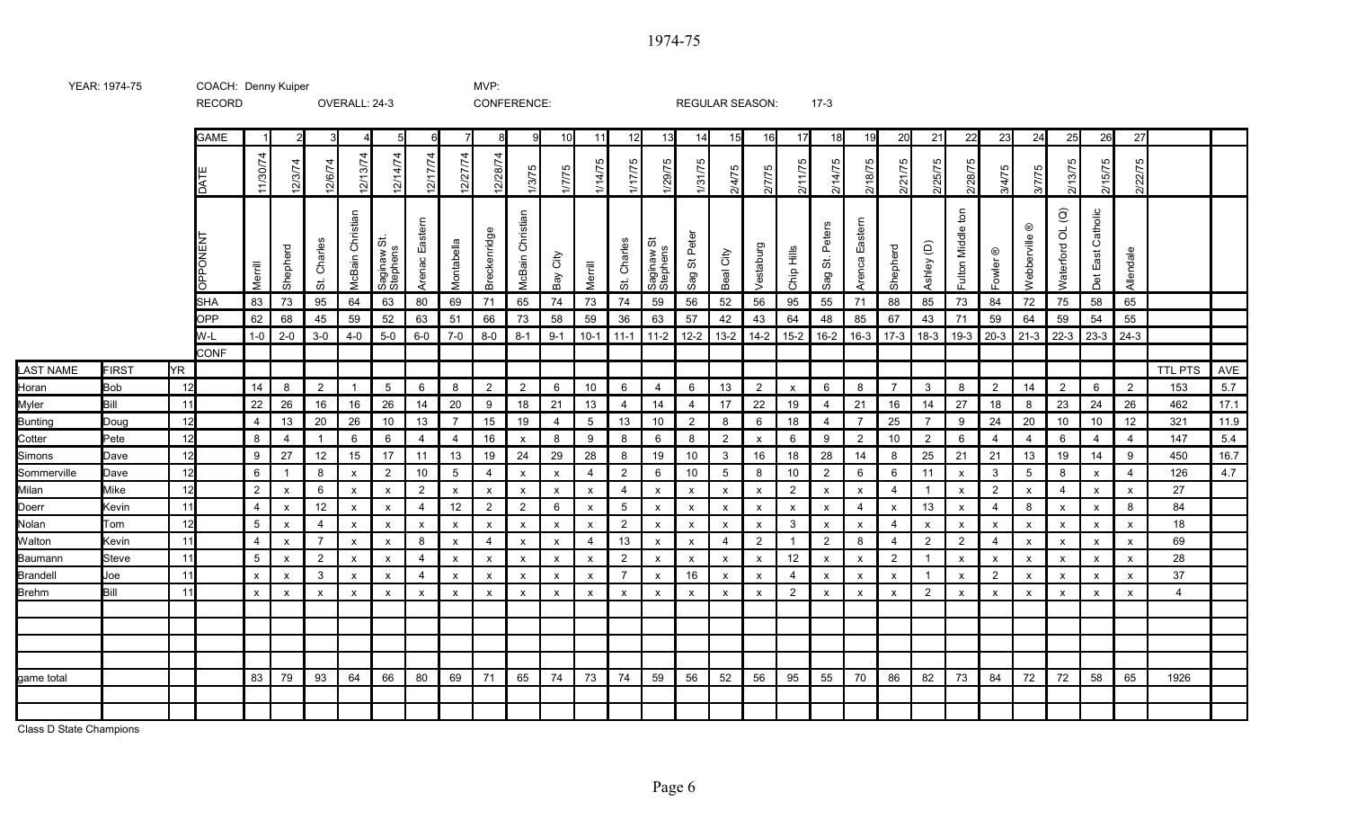|                  |            |           | <b>GAME</b> |                                               | $\mathcal{P}$             | 3                         |                            |                           | 6                         |                           | 8                         | q                         | 10 <sup>1</sup> | 11                        | 12                        | 13                         | 14                        | 15                        | <b>16</b>                 | 17                        | 18                        | 19                | 20                        | 21                        | 22                             | 23                        | 24                           | 25                                      | 26                        | 27                        |                |      |
|------------------|------------|-----------|-------------|-----------------------------------------------|---------------------------|---------------------------|----------------------------|---------------------------|---------------------------|---------------------------|---------------------------|---------------------------|-----------------|---------------------------|---------------------------|----------------------------|---------------------------|---------------------------|---------------------------|---------------------------|---------------------------|-------------------|---------------------------|---------------------------|--------------------------------|---------------------------|------------------------------|-----------------------------------------|---------------------------|---------------------------|----------------|------|
|                  |            |           |             | $\overline{74}$<br>$\frac{5}{2}$<br>$\vec{r}$ | 4<br>12/3/                | 4<br>12/6/7               | 12/13/74                   | 12/14/74                  | 12/17/74                  | /74<br>12/27              | $\overline{74}$<br>12/28  | 1/3/75                    | 5<br>1/7/7      | 1/14/75                   | 1/17/75                   | 1/29/75                    | 1/31/75                   | 2/4/75                    | Б<br>2/7/7                | /75<br>Ξ<br>ন             | 5.<br>ने<br>ন             | ம<br>18/7<br>ন    | 175<br>2/21               | Ю<br>7/5/7<br>ਨ           | 2/28/75                        | 3/4/7                     | Ю<br>3/7/7                   | 2/13/75                                 | 2/15/75                   | Ю<br>2/22/                |                |      |
|                  |            |           | Ē           | Merrill                                       | Shepherd                  | Charles<br>ぉ              | Christian<br><b>McBain</b> | Saginaw St.<br>Stephens   | Easte<br>Arenac           | Montabella                | Breckenridge              | Christian<br>McBain       | City<br>Bay     | Merrill                   | Charles<br>ぢ              | ö<br>Saginaw S<br>Stephens | Sag St Peter              | Beal City                 | Vestaburg                 | Chip Hills                | St. Peters<br>Sag         | Eastern<br>Arenca | Shepherd                  | Ashley (D)                | $\frac{1}{2}$<br>Fulton Middle | $^\copyright$<br>Fowler   | $^\copyright$<br>Webberville | $\widehat{\mathcal{Q}}$<br>Waterford OL | Catholic<br>East<br>Det   | Allendale                 |                |      |
|                  |            |           | ISHA        | 83                                            | 73                        | 95                        | 64                         | 63                        | 80                        | 69                        | 71                        | 65                        | 74              | 73                        | 74                        | 59                         | 56                        | 52                        | 56                        | 95                        | 55                        | 71                | 88                        | 85                        | 73                             | 84                        | 72                           | 75                                      | 58                        | 65                        |                |      |
|                  |            |           | OPP         | 62                                            | 68                        | 45                        | 59                         | 52                        | 63                        | 51                        | 66                        | 73                        | 58              | 59                        | 36                        | 63                         | 57                        | 42                        | 43                        | 64                        | 48                        | 85                | 67                        | 43                        | 71                             | 59                        | 64                           | 59                                      | 54                        | 55                        |                |      |
|                  |            |           | W-L         | $1-0$                                         | $2 - 0$                   | $3-0$                     | $4 - 0$                    | $5-0$                     | $6-0$                     | $7-0$                     | $8-0$                     | $8 - 1$                   | $9-1$           | $10-1$                    | $11-1$                    | 11-2                       | $12 - 2$                  | $13-2$                    | $14 - 2$                  | $15 - 2$                  | $16 - 2$                  | $16-3$            | $17-3$                    | $18-3$                    | $19-3$                         | $20-3$                    | $21-3$                       | $22-3$                                  | $23-3$                    | $24-3$                    |                |      |
|                  |            |           | <b>CONF</b> |                                               |                           |                           |                            |                           |                           |                           |                           |                           |                 |                           |                           |                            |                           |                           |                           |                           |                           |                   |                           |                           |                                |                           |                              |                                         |                           |                           |                |      |
| <b>LAST NAME</b> | FIRST      | <b>YR</b> |             |                                               |                           |                           |                            |                           |                           |                           |                           |                           |                 |                           |                           |                            |                           |                           |                           |                           |                           |                   |                           |                           |                                |                           |                              |                                         |                           |                           | <b>TTL PTS</b> | AVE  |
| Horan            | <b>Bob</b> | 12        |             | 14                                            | 8                         | $\overline{2}$            | $\overline{1}$             | 5                         | 6                         | 8                         | $\overline{2}$            | $\overline{2}$            | 6               | 10                        | 6                         | $\overline{4}$             | 6                         | 13                        | $\overline{2}$            | $\mathsf{x}$              | 6                         | 8                 | $\overline{7}$            | $\mathbf{3}$              | 8                              | $\overline{2}$            | 14                           | $\overline{2}$                          | 6                         | $\overline{2}$            | 153            | 5.7  |
| Myler            | Bill       | 11        |             | 22                                            | 26                        | 16                        | 16                         | 26                        | 14                        | 20                        | 9                         | 18                        | 21              | 13                        | 4                         | 14                         | 4                         | 17                        | 22                        | 19                        | $\overline{4}$            | 21                | 16                        | 14                        | 27                             | 18                        | 8                            | 23                                      | 24                        | 26                        | 462            | 17.1 |
| <b>Bunting</b>   | Doug       | 12        |             | $\overline{4}$                                | 13                        | 20                        | 26                         | 10                        | 13                        | 7                         | 15                        | 19                        | 4               | 5                         | 13                        | 10                         | $\overline{2}$            | 8                         | 6                         | 18                        | $\overline{4}$            | $\overline{7}$    | 25                        | $\overline{7}$            | 9                              | 24                        | 20                           | 10                                      | 10                        | 12                        | 321            | 11.9 |
| Cotter           | Pete       | 12        |             | 8                                             | $\overline{4}$            | $\overline{1}$            | 6                          | 6                         | 4                         | 4                         | 16                        | $\boldsymbol{\mathsf{x}}$ | 8               | 9                         | 8                         | 6                          | 8                         | $\overline{2}$            | $\pmb{\mathsf{x}}$        | 6                         | 9                         | $\overline{2}$    | 10                        | $\overline{2}$            | 6                              | 4                         | 4                            | 6                                       | $\overline{4}$            | $\overline{4}$            | 147            | 5.4  |
| Simons           | Dave       | 12        |             | 9                                             | 27                        | 12                        | 15                         | 17                        | 11                        | 13                        | 19                        | 24                        | 29              | 28                        | 8                         | 19                         | 10                        | 3                         | 16                        | 18                        | 28                        | 14                | 8                         | 25                        | 21                             | 21                        | 13                           | 19                                      | 14                        | 9                         | 450            | 16.7 |
| Sommerville      | Dave       | 12        |             | 6                                             | $\overline{1}$            | 8                         | $\boldsymbol{\mathsf{x}}$  | $\overline{2}$            | 10                        | $5\,$                     | $\overline{4}$            | $\boldsymbol{\mathsf{x}}$ | х               | $\overline{\mathbf{4}}$   | $\overline{2}$            | 6                          | 10                        | $5\overline{)}$           | 8                         | 10                        | $\overline{2}$            | 6                 | 6                         | 11                        | $\boldsymbol{\mathsf{x}}$      | 3                         | 5                            | 8                                       | x                         | $\overline{4}$            | 126            | 4.7  |
| Milan            | Mike       | 12        |             | 2                                             | $\mathsf{x}$              | 6                         | $\mathsf{x}$               | $\mathsf{x}$              | $\overline{2}$            | $\mathsf{x}$              | $\mathsf{x}$              | $\mathsf{x}$              | X               | $\mathsf{x}$              | $\overline{4}$            | $\mathsf{x}$               | $\boldsymbol{\mathsf{x}}$ | $\mathsf{x}$              | $\pmb{\chi}$              | 2                         | $\mathsf{x}$              | $\mathsf{x}$      | $\overline{4}$            | $\overline{1}$            | $\mathsf{x}$                   | $\overline{2}$            | $\mathsf{x}$                 | $\overline{\mathbf{4}}$                 | $\mathsf{x}$              | $\mathsf{x}$              | 27             |      |
| Doerr            | Kevin      | 11        |             | $\overline{4}$                                | $\boldsymbol{\mathsf{x}}$ | 12                        | $\boldsymbol{\mathsf{x}}$  | $\mathsf{x}$              | 4                         | 12                        | $\overline{2}$            | $\overline{2}$            | 6               | $\boldsymbol{\mathsf{x}}$ | $5\,$                     | $\mathsf{x}$               | $\boldsymbol{\mathsf{x}}$ | X                         | $\pmb{\chi}$              | $\boldsymbol{\mathsf{x}}$ | $\boldsymbol{\mathsf{x}}$ | 4                 | $\pmb{\times}$            | 13                        | $\boldsymbol{\mathsf{x}}$      | 4                         | 8                            | $\boldsymbol{\mathsf{x}}$               | $\boldsymbol{\mathsf{x}}$ | 8                         | 84             |      |
| Nolan            | Tom        | 12        |             | 5                                             | $\mathsf{x}$              | $\overline{4}$            | $\boldsymbol{\mathsf{x}}$  | $\mathsf{x}$              | $\mathsf{x}$              | $\boldsymbol{\mathsf{x}}$ | $\boldsymbol{\mathsf{x}}$ | $\boldsymbol{\mathsf{x}}$ | $\mathsf{x}$    | $\boldsymbol{\mathsf{x}}$ | 2                         | $\boldsymbol{\mathsf{x}}$  | $\boldsymbol{\mathsf{x}}$ | $\mathsf{x}$              | X                         | $\mathbf{3}$              | $\boldsymbol{\mathsf{x}}$ | X                 | $\overline{4}$            | $\boldsymbol{\mathsf{x}}$ | $\boldsymbol{\mathsf{x}}$      | $\mathsf{x}$              | x                            | $\boldsymbol{\mathsf{x}}$               | $\boldsymbol{\mathsf{x}}$ | $\mathsf{x}$              | 18             |      |
| Walton           | Kevin      | 11        |             | $\overline{4}$                                | $\boldsymbol{\mathsf{x}}$ | $\overline{7}$            | $\boldsymbol{\mathsf{x}}$  | $\boldsymbol{\mathsf{x}}$ | 8                         | x                         | $\overline{4}$            | $\boldsymbol{\mathsf{x}}$ | X               | $\overline{\mathbf{4}}$   | 13                        | X                          | $\mathsf{x}$              | 4                         | $\overline{2}$            | $\mathbf{1}$              | $\overline{2}$            | 8                 | $\overline{4}$            | $\overline{2}$            | $\overline{2}$                 | $\overline{4}$            | $\mathsf{x}$                 | x                                       | $\boldsymbol{\mathsf{x}}$ | $\boldsymbol{\mathsf{x}}$ | 69             |      |
| Baumann          | Steve      | 11        |             | 5                                             | $\boldsymbol{\mathsf{x}}$ | $\overline{2}$            | $\boldsymbol{\mathsf{x}}$  | $\mathsf{x}$              | 4                         | x                         | $\boldsymbol{\mathsf{x}}$ | $\boldsymbol{\mathsf{x}}$ | х               | x                         | 2                         | X                          | $\mathsf{x}$              | X                         | $\boldsymbol{\mathsf{x}}$ | 12                        | $\mathsf{x}$              | $\mathsf{x}$      | $\overline{2}$            | $\overline{1}$            | $\boldsymbol{\mathsf{x}}$      | $\mathsf{x}$              | x                            | X                                       | $\boldsymbol{\mathsf{x}}$ | $\mathsf{x}$              | 28             |      |
| Brandell         | Joe        | 11        |             | $\boldsymbol{\mathsf{x}}$                     | $\boldsymbol{\mathsf{x}}$ | $\mathbf{3}$              | $\boldsymbol{\mathsf{x}}$  | $\mathsf{x}$              | 4                         | x                         | $\mathsf{x}$              | $\mathsf{x}$              | $\mathsf{x}$    | x                         | $\overline{7}$            | $\mathsf{x}$               | 16                        | x                         | X                         | $\overline{4}$            | $\mathsf{x}$              | $\mathsf{x}$      | $\boldsymbol{\mathsf{x}}$ | $\overline{1}$            | $\boldsymbol{\mathsf{x}}$      | $\overline{2}$            | x                            | $\boldsymbol{\mathsf{x}}$               | $\mathsf{x}$              | $\mathsf{x}$              | 37             |      |
| Brehm            | Bill       | 11        |             | $\mathsf{x}$                                  | $\boldsymbol{\mathsf{x}}$ | $\boldsymbol{\mathsf{x}}$ | $\boldsymbol{\mathsf{x}}$  | $\boldsymbol{\mathsf{x}}$ | $\boldsymbol{\mathsf{x}}$ | x                         | $\boldsymbol{\mathsf{x}}$ | $\boldsymbol{\mathsf{x}}$ | X               | X                         | $\boldsymbol{\mathsf{x}}$ | $\mathsf{x}$               | $\boldsymbol{\mathsf{x}}$ | $\boldsymbol{\mathsf{x}}$ | $\boldsymbol{\mathsf{x}}$ | $\overline{2}$            | $\boldsymbol{\mathsf{x}}$ | $\pmb{\chi}$      | $\boldsymbol{\mathsf{x}}$ | $\overline{2}$            | $\boldsymbol{\mathsf{x}}$      | $\boldsymbol{\mathsf{x}}$ | x                            | x                                       | $\boldsymbol{\mathsf{x}}$ | $\mathsf{x}$              | $\overline{4}$ |      |
|                  |            |           |             |                                               |                           |                           |                            |                           |                           |                           |                           |                           |                 |                           |                           |                            |                           |                           |                           |                           |                           |                   |                           |                           |                                |                           |                              |                                         |                           |                           |                |      |
|                  |            |           |             |                                               |                           |                           |                            |                           |                           |                           |                           |                           |                 |                           |                           |                            |                           |                           |                           |                           |                           |                   |                           |                           |                                |                           |                              |                                         |                           |                           |                |      |
|                  |            |           |             |                                               |                           |                           |                            |                           |                           |                           |                           |                           |                 |                           |                           |                            |                           |                           |                           |                           |                           |                   |                           |                           |                                |                           |                              |                                         |                           |                           |                |      |
|                  |            |           |             |                                               |                           |                           |                            |                           |                           |                           |                           |                           |                 |                           |                           |                            |                           |                           |                           |                           |                           |                   |                           |                           |                                |                           |                              |                                         |                           |                           |                |      |
| game total       |            |           |             | 83                                            | 79                        | 93                        | 64                         | 66                        | 80                        | 69                        | 71                        | 65                        | 74              | 73                        | 74                        | 59                         | 56                        | 52                        | 56                        | 95                        | 55                        | 70                | 86                        | 82                        | 73                             | 84                        | 72                           | 72                                      | 58                        | 65                        | 1926           |      |
|                  |            |           |             |                                               |                           |                           |                            |                           |                           |                           |                           |                           |                 |                           |                           |                            |                           |                           |                           |                           |                           |                   |                           |                           |                                |                           |                              |                                         |                           |                           |                |      |
|                  |            |           |             |                                               |                           |                           |                            |                           |                           |                           |                           |                           |                 |                           |                           |                            |                           |                           |                           |                           |                           |                   |                           |                           |                                |                           |                              |                                         |                           |                           |                |      |

Class D State Champions

1974-75

YEAR: 1974-75 COACH: MVP: Denny Kuiper

RECORD OVERALL: 24-3 CONFERENCE: REGULAR SEASON: 17-3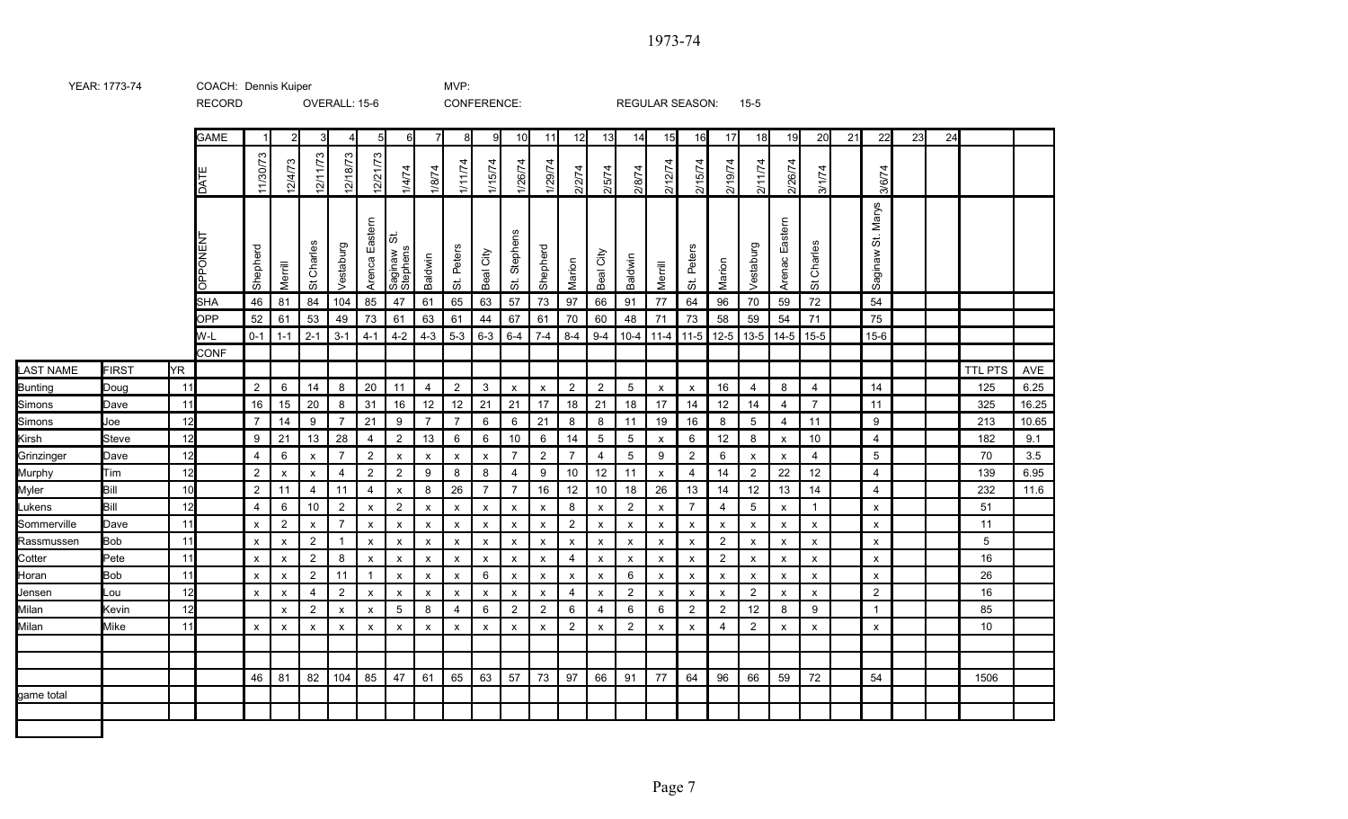RECORD OVERALL: 15-6 CONFERENCE: REGULAR SEASON: 15-5 GAME | 1| 2| 3| 4| 5| 6| 7| 8| 9| 10| 11| 12| 13| 14| 15| 16| 17| 18| 19| 20| 21| 22| 23| 24 11/30/73 12/18/73 12/11/73 2/21/73 12/4/73 1/11/74 1/15/74 1/26/74 1/29/74 2/12/74 2/15/74 2/19/74 2/11/74 2/26/74 1/8/74 2/2/74 1/4/74 2/5/74 2/8/74 3/1/74 3/6/74 DA TE St. Marys Arenca Eastern Arenac Eastern Arenca Eastern Arenac Eastern St. Stephens NEN T $\overline{5}$ St Charles St Charles Shepherd Vestaburg Shepherd Vestaburg St. Peters St. Peters Beal City Saginaw Stephens Beal City Saginaw Baldwin Baldwin Marion Marion Merrill Merrill O<br>O<br>O<br>O SHA |46 |81 |84 |104 |85 |47 |61 |65 |63 |57 |73 |97 |66 |91 |77 |64 |96 |70 |59 |72 | |54 OPP | 52 | 61 | 53 | 49 | 73 | 61 | 63 | 61 | 44 | 67 | 61 | 70 | 60 | 48 | 71 | 73 | 58 | 59 | 54 | 71 | | 75 W-L | 0-1 | 1-1 | 2-1 | 3-1 | 4-1 | 4-2 | 4-3 | 5-3 | 6-3 | 6-4 | 7-4 | 8-4 | 9-4 | 11-4 | 11-4 | 11-5 | 13-5 | 13-5 | 15-6 | | 15-6 CONF LAST NAME FIRST YR TTL PTS AVE Bunting Doug 11 2 6 14 8 20 11 4 2 3 x x 2 2 5 x x 16 4 8 4 14 125 6.25 **Simons** Dave | 11| | | 16 | 15 | 20 | 8 | 31 | 16 | 12 | 12 | 21 | 17 | 18 | 21 | 18 | 17 | 14 | 12 | 14 | 4 | 7 | | 11 | | | | | 325 | 16.25 **Simons** Joe | 12 | 7 | 14 | 9 | 7 | 21 | 9 | 7 | 7 | 6 | 6 | 21 | 8 | 8 | 11 | 19 | 16 | 8 | 5 | 4 | 11 | 19 | 11 | 213 |10.65 Kirsh Steve | 12 | 9 | 21 | 13 | 28 | 4 | 2 | 13 | 6 | 6 | 10 | 6 | 14 | 5 | 5 | x | 6 | 12 | 8 | x | 10 | | 4 | | | 182 | 9.1 **Grinzinger** Dave 12 4 6 x 7 2 x x x x 7 2 7 4 5 9 2 6 x x 4 5 70 3.5 Murphy | Tim | 12 | 2 | x | x | 4 | 2 | 2 | 9 | 8 | 8 | 4 | 9 | 10 | 12 | 11 | x | 4 | 14 | 2 | 22 | 12 | | 4 | | | | | 139 | 6.95 Myler Bill 10 2 11 4 11 4 x 8 26 7 7 16 12 10 18 26 13 14 12 13 14 4 232 11.6 Lukens Bill 12 | 4 | 6 | 10 | 2 | x | 2 | x | x | x | x | 8 | x | 2 | x | 7 | 4 | 5 | x | 1 | | x | | | 51 Sommerville Dave 11 x 2 x 7 x x x x x x x 2 x x x x x x x x x 11 Rassmussen Bob 11 x x 2 1 x x x x x x x x x x x x 2 x x x x 5 Cotter Pete 11 x x 2 8 x x x x x x x 4 x x x x 2 x x x x 16 HoranBob 11 x x 2 11 1 x x x 6 x x x x 6 x x x x x x x 26 Jensen Lou 12 x x 4 2 x x x x x x x 4 x 2 x x x 2 x x 2 16 Milan Kevin | 12 | | x | 2 | x | x | 5 | 8 | 4 | 6 | 2 | 2 | 6 | 4 | 6 | 6 | 2 | 2 | 12 | 8 | 9 | | 1 | | | 85 Milan Mike 11 x x x x x x x x x x x 2 x 2 x x 4 2 x x x 10 46 | 81 | 82 | 104 | 85 | 47 | 61 | 65 | 63 | 57 | 73 | 97 | 66 | 91 | 77 | 64 | 96 | 66 | 59 | 72 |  $\qquad$  | 54 |  $\qquad$  | 1506 game total

YEAR: 1773-74 COACH: Dennis Kuiper The Corpus Control of the MVP: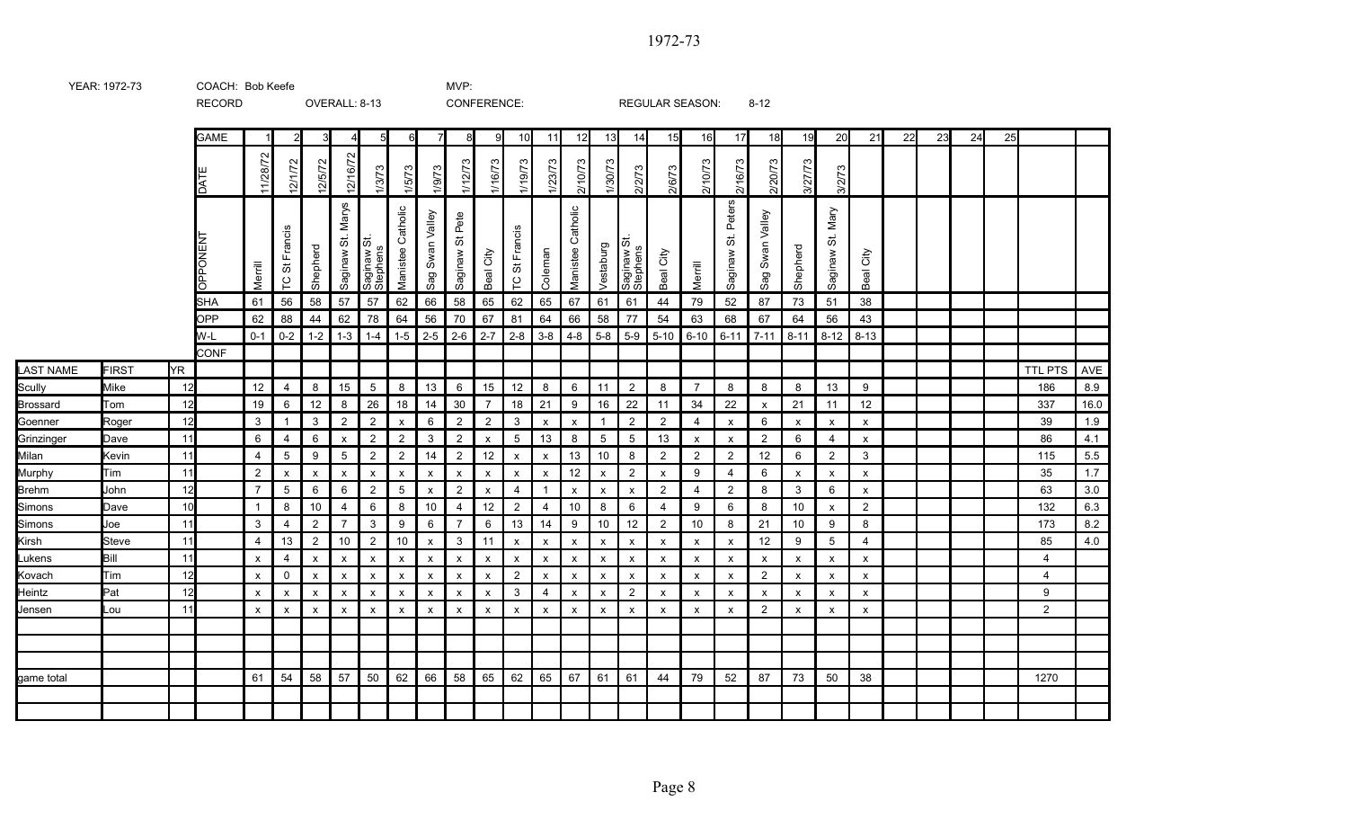RECORD OVERALL: 8-13 CONFERENCE: REGULAR SEASON: 8-12 GAME | 1| 2| 3| 4| 5| 6| 7| 8| 9| 10| 11| 12| 13| 14| 15| 16| 17| 18| 19| 20| 21| 22| 23| 24| 25 11/28/72 12/16/72 2/1/72 2/5/72 1/12/73 1/16/73 1/19/73 1/23/73 2/10/73 1/30/73 2/10/73 2/16/73 2/20/73 3/27/73 1/9/73 2/2/73 2/6/73 1/3/73 1/5/73 3/2/73 DA TE St. Peters St. Marys St. Mary **Manistee Catholic** Manistee Catholic Manistee Catholic Manistee Catholic wan Valley wan Valley St Pete TCSt Francis St Francis NEN T|ಹ Saginaw St.  $\vec{\omega}$ Vestaburg **Shepherd** Shepherd Coleman Beal City Beal City Saginaw Stephens Stephens Beal City Saginaw Saginaw Saginaw Saginaw Merrill Merrill O<br>O<br>O<br>O Sag S Sag S  $\frac{1}{2}$ SHA | 61 | 56 | 58 | 57 | 57 | 62 | 66 | 58 | 65 | 62 | 65 | 67 | 61 | 61 | 44 | 79 | 52 | 87 | 73 | 51 | 38 OPP | 62 | 88 | 44 | 62 | 78 | 64 | 56 | 70 | 67 | 81 | 64 | 66 | 58 | 77 | 54 | 63 | 68 | 67 | 64 | 56 | 43 W-L | 0-1 | 0-2 | 1-2 | 1-3 | 1-4 | 1-5 | 2-5 | 2-6 | 2-7 | 2-8 | 3-8 | 4-8 | 5-8 | 5-9 | 5-10 | 6-10 | 6-11 | 7-11 | 8-11 | 8-12 | 8-13 CONF LAST NAME FIRST YR TTL PTS AVE **Scully** Mike | 12 | 12 | 4 | 8 | 15 | 5 | 8 | 13 | 6 | 15 | 12 | 8 | 6 | 11 | 2 | 8 | 7 | 8 | 8 | 8 | 8 | 8 | 8 | 8 | 9 Brossard Tom | 12 | 19 | 6 | 12 | 8 | 26 | 18 | 14 | 30 | 7 | 18 | 21 | 9 | 16 | 22 | 11 | 34 | 22 | x | 21 | 11 | 12 | | | | | 337 | 16.0 Goenner Roger | 12 | 3 | 1 | 3 | 2 | 2 | x | 6 | 2 | 2 | 3 | x | x | 1 | 2 | 2 | 4 | x | 6 | x | x | x | x | t | t | 39 | 1.9 Grinzinger Dave | 11 | 6 | 4 | 6 | x | 2 | 2 | 3 | 2 | x | 5 | 13 | 8 | 5 | 5 | 13 | x | x | 2 | 6 | 4 | x | | | | 86 | 4.1 Milan Kevin | 11 | 4 | 5 | 9 | 5 | 2 | 2 | 14 | 2 | 12 | x | x | 13 | 10 | 8 | 2 | 2 | 12 | 6 | 2 | 3 | | | | 115 | 5.5 Murphy | Tim | 11 | 2 | x | x | x | x | x | x | x | x | 2 | x | 9 | 4 | 6 | x | x | x | x | | | | 35 | 1.7 Brehm John | 12 | 7 | 5 | 6 | 6 | 2 | 5 | x | 2 | x | 4 | 1 | x | x | 2 | 4 | 2 | 8 | 3 | 6 | x | | | | | 63 | 3.0 **Simons** Dave | 10 | 1 | 8 | 10 | 4 | 6 | 8 | 10 | 4 | 12 | 2 | 4 | 10 | 8 | 6 | 4 | 9 | 6 | 8 | 10 | x | 2 | 11 | 12 | Simons Joe | 11 | | 3 | 4 | 2 | 7 | 3 | 9 | 6 | 7 | 6 | 13 | 14 | 9 | 10 | 12 | 2 | 10 | 8 | 21 | 10 | 9 | 8 | | | | | 173 | 8.2 Kirsh Steve 11 4 13 2 10 2 10 x 3 11 x x x x x x x x 12 9 5 4 85 4.0 Lukens Bill 11 x 4 x x x x x x x x x x x x x x x x x x x 4 Kovach Tim 12 x 0 x x x x x x x 2 x x x x x x x 2 x x x 4 **Heintz** Pat 12 x x x x x x x x x 3 4 x x 2 x x x x x x x 9 Jensen Lou 11 x x x x x x x x x x x x x x x x x 2 x x x 2 game total 61 54 58 57 50 62 66 58 65 62 65 67 61 61 44 79 52 87 73 50 38 1270

YEAR: 1972-73 COACH: MVP: Bob Keefe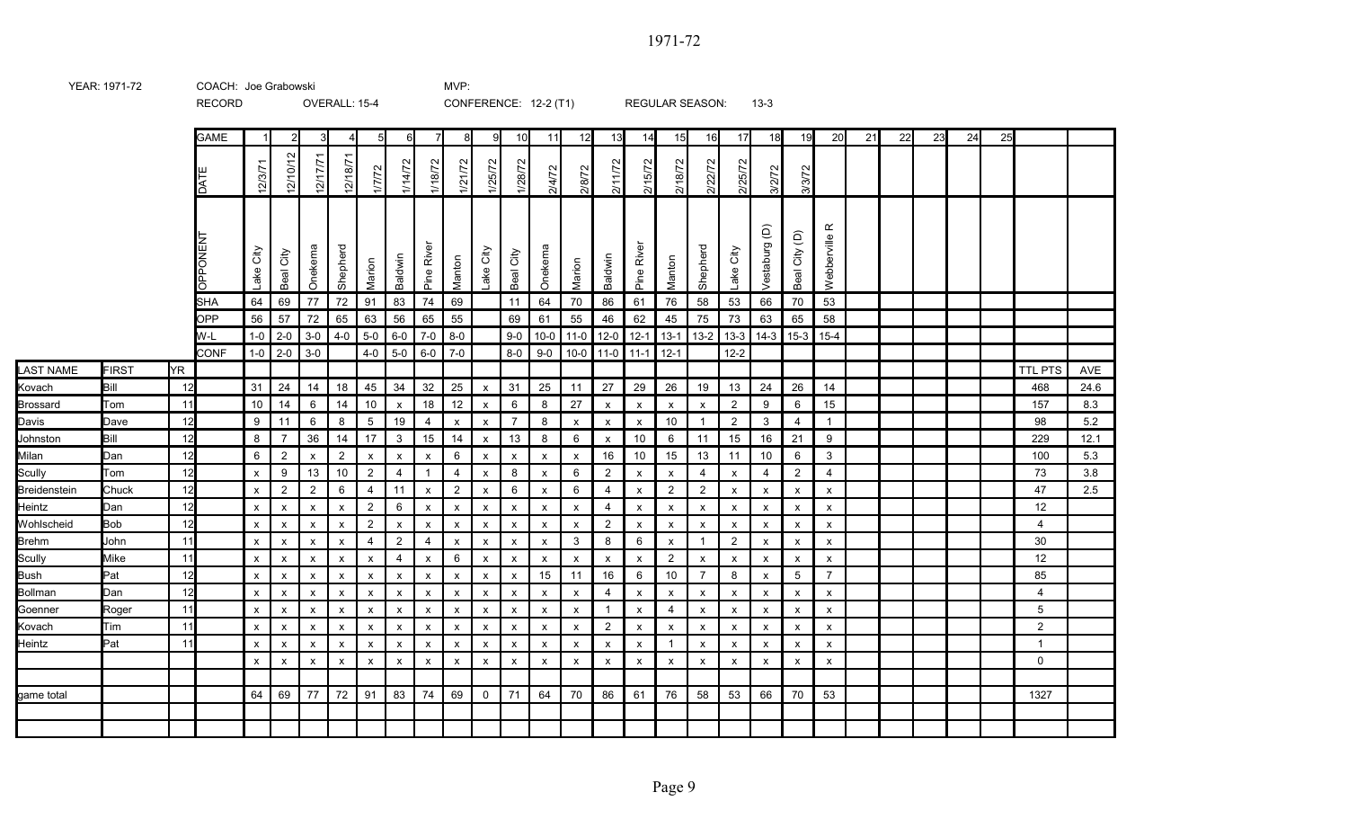RECORD OVERALL: 15-4 CONFERENCE: 12-2 (T1) REGULAR SEASON: 13-3 GAME | 1| 2| 3| 4| 5| 6| 7| 8| 9| 10| 11| 12| 13| 14| 15| 16| 17| 18| 19| 20| 21| 22| 23| 24| 25 DA TE 12/3/71 2/10/12 12/17/71 2/18/7 1/7/72 1/14/72 1/18/72 1/21/72 1/25/72 1/28/72 2/4/72 2/8/72 2/11/72 2/15/72 2/18/72 2/22/72 2/25/72 3/2/72 3/3/72 O<br>O<br>O<br>O NEN TLake City **Shepherd** Marion Baldwin Pine River Lake City Marion Baldwin Pine River Shepherd Lake City SHA | 64 | 69 | 77 | 72 | 91 | 83 | 74 | 69 | | 11 | 64 | 70 | 86 | 61 | 76 | 58 | 53 | 66 | 70 | 53 OPP | 56 | 57 | 72 | 65 | 63 | 56 | 65 | 55 | | 69 | 61 | 55 | 46 | 62 | 45 | 75 | 73 | 63 | 65 | 58 W-L 1-0 2-0 3-0 4-0 5-0 6-0 7-0 8-0 9 90 10-0 11-0 12-0 12-1 13-1 13-2 13-3 14-3 15-3 15-4 CONF | 1-0 | 2-0 | 3-0 | | 4-0 | 5-0 | 6-0 | 7-0 | | 8-0 | 9-0 | 10-0 | 11-0 | 11-1 | 12-1 | | 12-2 LAST NAME FIRST YR TTL PTS AVE Bill | 12 | 31 | 24 | 14 | 18 | 45 | 34 | 32 | 25 | x | 31 | 25 | 11 | 27 | 29 | 26 | 19 | 13 | 24 | 26 | 14 | | | | | | 468 | 24.6 Tom | 11 | 10 | 14 | 6 | 14 | 10 | x | 18 | 12 | x | 8 | 27 | x | x | x | x | 2 | 9 | 6 | 15 | | | | | | 157 | 8.3 Davis | Dave | 12 | 9 | 11 | 6 | 8 | 5 | 19 | 4 | x | x | 7 | 8 | x | x | x | 10 | 1 | 2 | 3 | 4 | 1 | | | | | | | | | | 98 | 5.2 Johnston | Bill | 12 | 8 | 7 | 36 | 14 | 17 | 3 | 15 | 14 | x | 13 | 8 | 6 | x | 10 | 6 | 11 | 15 | 16 | 21 | 9 | | | | | | 229 | 12.1 Milan | Dan | 12 | 6 | 2 | x | 2 | x | x | 6 | x | x | x | x | 16 | 10 | 15 | 13 | 11 | 10 | 6 | 3 | | | | | | 100 | 5.3 Tom | 12 | x | 9 | 13 | 10 | 2 | 4 | 1 | 4 | x | 8 | x | 6 | 2 | x | x | 4 | x | 4 | 2 | 4 | | | | | | | 73 | 3.8 Chuck 12 x 2 2 6 4 11 x 2 x 6 x 6 4 x 2 2 x x x x 47 2.5 Dan 12 x x x x 2 6 x x x x x x 4 x x x x x x x 12 Bob 12 x x x x 2 x x x x x x x 2 x x x x x x x 4 John | 11 | x | x | x | x | 4 | 2 | 4 | x | x | x | x | 3 | 8 | 6 | x | 1 | 2 | x | x | x | x | | | | | Mike 11 x x x x x 4 x 6 x x x x x x 2 x x x x x 12 Bush Pat 12 x x x x x x x x x x 15 11 16 6 10 7 8 x 5 7 85 Dan 12 x x x x x x x x x x x x 4 x x x x x x x 4 Roger 11 x x x x x x x x x x x x 1 x 4 x x x x x 5 Tim 11 x x x x x x x x x x x x 2 x x x x x x x 2 Pat 11 x x x x x x x x x x x x x x 1 x x x x x 1 x x x x x x x x x x x x x x x x x x x x 0 game total 64 | 69 | 77 | 72 | 91 | 83 | 74 | 69 | 0 | 71 | 64 | 70 | 86 | 61 | 76 | 58 | 53 | 66 | 70 | 53 | | 1327 Beal City Onekema Manton Beal City Onekema Manton Vestaburg (D) Beal City (D) Webberville R Kovach **Brossard Scully** Breidenstein **Heintz** Wohlscheid Brehm **Scully** Bollman **Goenner** Kovach **Heintz** 

YEAR: 1971-72 COACH: MVP: Joe Grabowski

Page 9